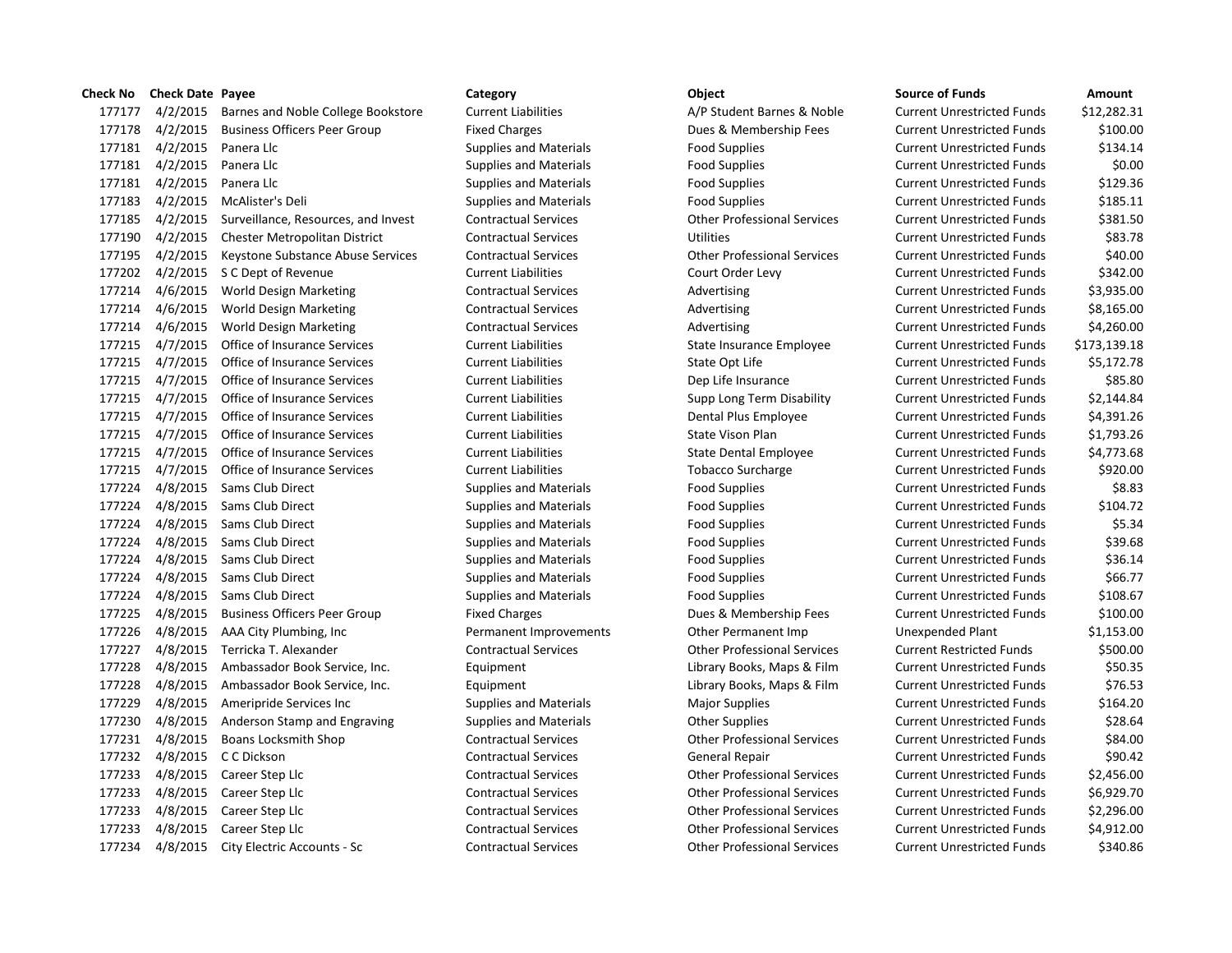| Check No | <b>Check Date Payee</b> |                                      | Category                      | Object                             | <b>Source of Funds</b>            | Amount       |
|----------|-------------------------|--------------------------------------|-------------------------------|------------------------------------|-----------------------------------|--------------|
| 177177   | 4/2/2015                | Barnes and Noble College Bookstore   | <b>Current Liabilities</b>    | A/P Student Barnes & Noble         | <b>Current Unrestricted Funds</b> | \$12,282.31  |
| 177178   | 4/2/2015                | <b>Business Officers Peer Group</b>  | <b>Fixed Charges</b>          | Dues & Membership Fees             | <b>Current Unrestricted Funds</b> | \$100.00     |
| 177181   | 4/2/2015                | Panera Llc                           | <b>Supplies and Materials</b> | <b>Food Supplies</b>               | <b>Current Unrestricted Funds</b> | \$134.14     |
| 177181   | 4/2/2015                | Panera Llc                           | <b>Supplies and Materials</b> | <b>Food Supplies</b>               | <b>Current Unrestricted Funds</b> | \$0.00       |
| 177181   | 4/2/2015                | Panera Llc                           | <b>Supplies and Materials</b> | <b>Food Supplies</b>               | <b>Current Unrestricted Funds</b> | \$129.36     |
| 177183   | 4/2/2015                | McAlister's Deli                     | <b>Supplies and Materials</b> | <b>Food Supplies</b>               | <b>Current Unrestricted Funds</b> | \$185.11     |
| 177185   | 4/2/2015                | Surveillance, Resources, and Invest  | <b>Contractual Services</b>   | <b>Other Professional Services</b> | <b>Current Unrestricted Funds</b> | \$381.50     |
| 177190   | 4/2/2015                | Chester Metropolitan District        | <b>Contractual Services</b>   | <b>Utilities</b>                   | <b>Current Unrestricted Funds</b> | \$83.78      |
| 177195   | 4/2/2015                | Keystone Substance Abuse Services    | <b>Contractual Services</b>   | <b>Other Professional Services</b> | <b>Current Unrestricted Funds</b> | \$40.00      |
| 177202   |                         | 4/2/2015 S C Dept of Revenue         | <b>Current Liabilities</b>    | Court Order Levy                   | <b>Current Unrestricted Funds</b> | \$342.00     |
| 177214   | 4/6/2015                | <b>World Design Marketing</b>        | <b>Contractual Services</b>   | Advertising                        | <b>Current Unrestricted Funds</b> | \$3,935.00   |
| 177214   | 4/6/2015                | <b>World Design Marketing</b>        | <b>Contractual Services</b>   | Advertising                        | <b>Current Unrestricted Funds</b> | \$8,165.00   |
| 177214   | 4/6/2015                | <b>World Design Marketing</b>        | <b>Contractual Services</b>   | Advertising                        | <b>Current Unrestricted Funds</b> | \$4,260.00   |
| 177215   | 4/7/2015                | Office of Insurance Services         | <b>Current Liabilities</b>    | State Insurance Employee           | <b>Current Unrestricted Funds</b> | \$173,139.18 |
| 177215   | 4/7/2015                | Office of Insurance Services         | <b>Current Liabilities</b>    | State Opt Life                     | <b>Current Unrestricted Funds</b> | \$5,172.78   |
| 177215   | 4/7/2015                | Office of Insurance Services         | <b>Current Liabilities</b>    | Dep Life Insurance                 | <b>Current Unrestricted Funds</b> | \$85.80      |
| 177215   | 4/7/2015                | Office of Insurance Services         | <b>Current Liabilities</b>    | Supp Long Term Disability          | <b>Current Unrestricted Funds</b> | \$2,144.84   |
| 177215   | 4/7/2015                | Office of Insurance Services         | <b>Current Liabilities</b>    | Dental Plus Employee               | <b>Current Unrestricted Funds</b> | \$4,391.26   |
| 177215   | 4/7/2015                | Office of Insurance Services         | <b>Current Liabilities</b>    | <b>State Vison Plan</b>            | <b>Current Unrestricted Funds</b> | \$1,793.26   |
| 177215   | 4/7/2015                | Office of Insurance Services         | <b>Current Liabilities</b>    | State Dental Employee              | <b>Current Unrestricted Funds</b> | \$4,773.68   |
| 177215   | 4/7/2015                | Office of Insurance Services         | <b>Current Liabilities</b>    | <b>Tobacco Surcharge</b>           | <b>Current Unrestricted Funds</b> | \$920.00     |
| 177224   | 4/8/2015                | Sams Club Direct                     | <b>Supplies and Materials</b> | <b>Food Supplies</b>               | <b>Current Unrestricted Funds</b> | \$8.83       |
| 177224   |                         | 4/8/2015 Sams Club Direct            | <b>Supplies and Materials</b> | <b>Food Supplies</b>               | <b>Current Unrestricted Funds</b> | \$104.72     |
| 177224   |                         | 4/8/2015 Sams Club Direct            | <b>Supplies and Materials</b> | <b>Food Supplies</b>               | <b>Current Unrestricted Funds</b> | \$5.34       |
| 177224   |                         | 4/8/2015 Sams Club Direct            | <b>Supplies and Materials</b> | <b>Food Supplies</b>               | <b>Current Unrestricted Funds</b> | \$39.68      |
| 177224   | 4/8/2015                | Sams Club Direct                     | <b>Supplies and Materials</b> | <b>Food Supplies</b>               | <b>Current Unrestricted Funds</b> | \$36.14      |
| 177224   |                         | 4/8/2015 Sams Club Direct            | <b>Supplies and Materials</b> | <b>Food Supplies</b>               | <b>Current Unrestricted Funds</b> | \$66.77      |
| 177224   | 4/8/2015                | <b>Sams Club Direct</b>              | <b>Supplies and Materials</b> | Food Supplies                      | <b>Current Unrestricted Funds</b> | \$108.67     |
| 177225   | 4/8/2015                | <b>Business Officers Peer Group</b>  | <b>Fixed Charges</b>          | Dues & Membership Fees             | <b>Current Unrestricted Funds</b> | \$100.00     |
| 177226   |                         | 4/8/2015 AAA City Plumbing, Inc      | Permanent Improvements        | Other Permanent Imp                | Unexpended Plant                  | \$1,153.00   |
| 177227   |                         | 4/8/2015 Terricka T. Alexander       | <b>Contractual Services</b>   | <b>Other Professional Services</b> | <b>Current Restricted Funds</b>   | \$500.00     |
| 177228   | 4/8/2015                | Ambassador Book Service, Inc.        | Equipment                     | Library Books, Maps & Film         | <b>Current Unrestricted Funds</b> | \$50.35      |
| 177228   | 4/8/2015                | Ambassador Book Service, Inc.        | Equipment                     | Library Books, Maps & Film         | <b>Current Unrestricted Funds</b> | \$76.53      |
| 177229   | 4/8/2015                | Ameripride Services Inc              | <b>Supplies and Materials</b> | <b>Major Supplies</b>              | <b>Current Unrestricted Funds</b> | \$164.20     |
| 177230   | 4/8/2015                | Anderson Stamp and Engraving         | <b>Supplies and Materials</b> | <b>Other Supplies</b>              | <b>Current Unrestricted Funds</b> | \$28.64      |
| 177231   | 4/8/2015                | <b>Boans Locksmith Shop</b>          | <b>Contractual Services</b>   | <b>Other Professional Services</b> | <b>Current Unrestricted Funds</b> | \$84.00      |
| 177232   | 4/8/2015                | C C Dickson                          | <b>Contractual Services</b>   | General Repair                     | <b>Current Unrestricted Funds</b> | \$90.42      |
| 177233   |                         | 4/8/2015 Career Step Llc             | <b>Contractual Services</b>   | <b>Other Professional Services</b> | <b>Current Unrestricted Funds</b> | \$2,456.00   |
| 177233   | 4/8/2015                | Career Step Llc                      | <b>Contractual Services</b>   | <b>Other Professional Services</b> | <b>Current Unrestricted Funds</b> | \$6,929.70   |
| 177233   | 4/8/2015                | Career Step Llc                      | <b>Contractual Services</b>   | <b>Other Professional Services</b> | <b>Current Unrestricted Funds</b> | \$2,296.00   |
| 177233   | 4/8/2015                | Career Step Llc                      | <b>Contractual Services</b>   | <b>Other Professional Services</b> | <b>Current Unrestricted Funds</b> | \$4,912.00   |
| 177234   |                         | 4/8/2015 City Electric Accounts - Sc | <b>Contractual Services</b>   | <b>Other Professional Services</b> | <b>Current Unrestricted Funds</b> | \$340.86     |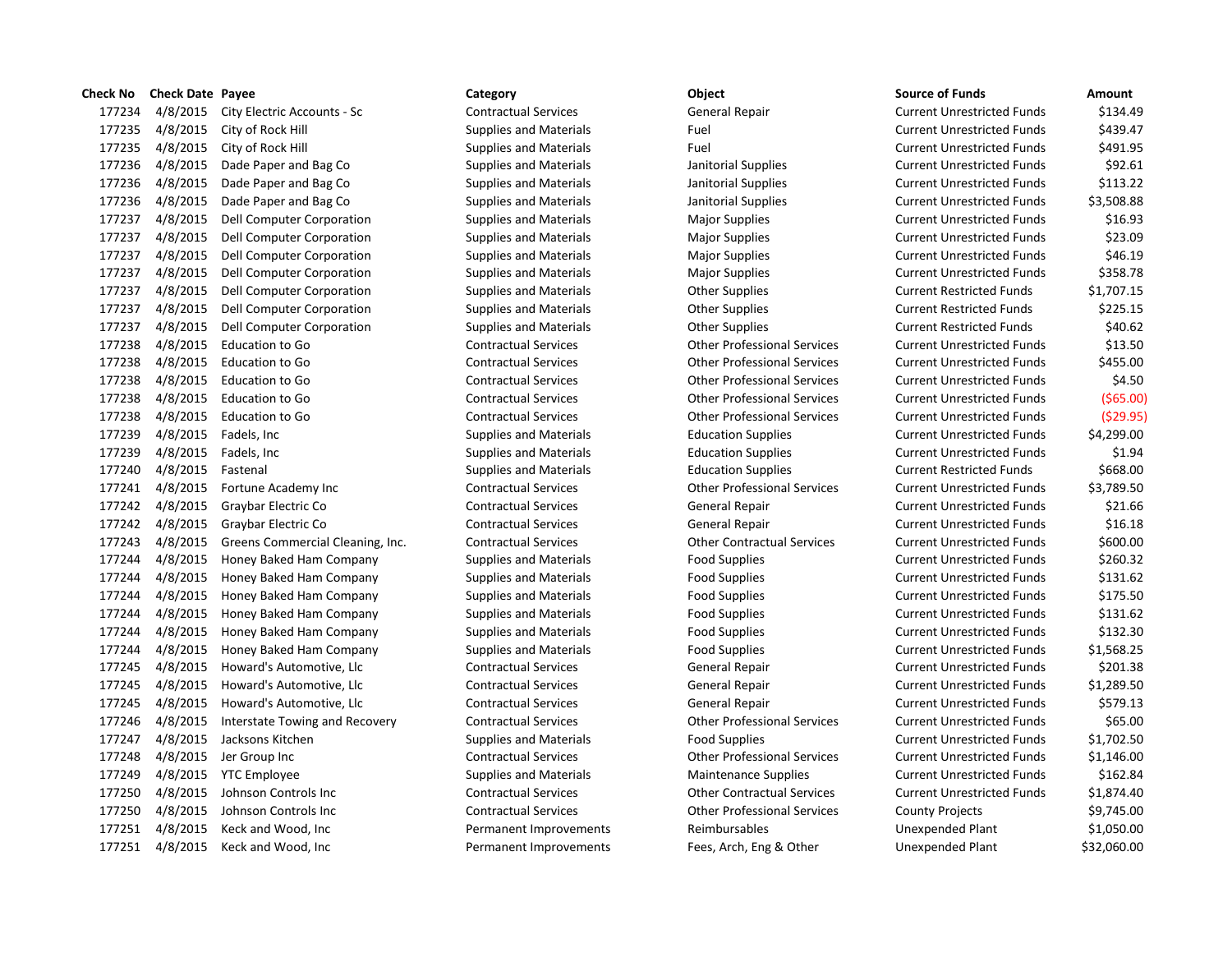| спеск ічо | Check Date Payee |                                      | category                      | opject                             | Source of Funds                   | Amount      |
|-----------|------------------|--------------------------------------|-------------------------------|------------------------------------|-----------------------------------|-------------|
| 177234    |                  | 4/8/2015 City Electric Accounts - Sc | <b>Contractual Services</b>   | General Repair                     | <b>Current Unrestricted Funds</b> | \$134.49    |
| 177235    | 4/8/2015         | City of Rock Hill                    | <b>Supplies and Materials</b> | Fuel                               | <b>Current Unrestricted Funds</b> | \$439.47    |
| 177235    | 4/8/2015         | City of Rock Hill                    | <b>Supplies and Materials</b> | Fuel                               | <b>Current Unrestricted Funds</b> | \$491.95    |
| 177236    | 4/8/2015         | Dade Paper and Bag Co                | <b>Supplies and Materials</b> | Janitorial Supplies                | <b>Current Unrestricted Funds</b> | \$92.61     |
| 177236    | 4/8/2015         | Dade Paper and Bag Co                | <b>Supplies and Materials</b> | Janitorial Supplies                | <b>Current Unrestricted Funds</b> | \$113.22    |
| 177236    | 4/8/2015         | Dade Paper and Bag Co                | <b>Supplies and Materials</b> | Janitorial Supplies                | <b>Current Unrestricted Funds</b> | \$3,508.88  |
| 177237    | 4/8/2015         | Dell Computer Corporation            | <b>Supplies and Materials</b> | <b>Major Supplies</b>              | <b>Current Unrestricted Funds</b> | \$16.93     |
| 177237    | 4/8/2015         | Dell Computer Corporation            | <b>Supplies and Materials</b> | <b>Major Supplies</b>              | <b>Current Unrestricted Funds</b> | \$23.09     |
| 177237    | 4/8/2015         | Dell Computer Corporation            | <b>Supplies and Materials</b> | <b>Major Supplies</b>              | <b>Current Unrestricted Funds</b> | \$46.19     |
| 177237    | 4/8/2015         | Dell Computer Corporation            | <b>Supplies and Materials</b> | <b>Major Supplies</b>              | <b>Current Unrestricted Funds</b> | \$358.78    |
| 177237    | 4/8/2015         | Dell Computer Corporation            | <b>Supplies and Materials</b> | <b>Other Supplies</b>              | <b>Current Restricted Funds</b>   | \$1,707.15  |
| 177237    | 4/8/2015         | Dell Computer Corporation            | <b>Supplies and Materials</b> | <b>Other Supplies</b>              | <b>Current Restricted Funds</b>   | \$225.15    |
| 177237    | 4/8/2015         | Dell Computer Corporation            | <b>Supplies and Materials</b> | <b>Other Supplies</b>              | <b>Current Restricted Funds</b>   | \$40.62     |
| 177238    | 4/8/2015         | Education to Go                      | <b>Contractual Services</b>   | <b>Other Professional Services</b> | <b>Current Unrestricted Funds</b> | \$13.50     |
| 177238    | 4/8/2015         | Education to Go                      | <b>Contractual Services</b>   | <b>Other Professional Services</b> | <b>Current Unrestricted Funds</b> | \$455.00    |
| 177238    | 4/8/2015         | Education to Go                      | <b>Contractual Services</b>   | <b>Other Professional Services</b> | <b>Current Unrestricted Funds</b> | \$4.50      |
| 177238    | 4/8/2015         | Education to Go                      | <b>Contractual Services</b>   | <b>Other Professional Services</b> | <b>Current Unrestricted Funds</b> | $($ \$65.00 |
| 177238    | 4/8/2015         | <b>Education to Go</b>               | <b>Contractual Services</b>   | <b>Other Professional Services</b> | <b>Current Unrestricted Funds</b> | (\$29.95    |
| 177239    | 4/8/2015         | Fadels, Inc.                         | <b>Supplies and Materials</b> | <b>Education Supplies</b>          | <b>Current Unrestricted Funds</b> | \$4,299.00  |
| 177239    | 4/8/2015         | Fadels, Inc                          | <b>Supplies and Materials</b> | <b>Education Supplies</b>          | <b>Current Unrestricted Funds</b> | \$1.94      |
| 177240    | 4/8/2015         | Fastenal                             | <b>Supplies and Materials</b> | <b>Education Supplies</b>          | <b>Current Restricted Funds</b>   | \$668.00    |
| 177241    | 4/8/2015         | Fortune Academy Inc                  | <b>Contractual Services</b>   | <b>Other Professional Services</b> | <b>Current Unrestricted Funds</b> | \$3,789.50  |
| 177242    | 4/8/2015         | Graybar Electric Co                  | <b>Contractual Services</b>   | General Repair                     | <b>Current Unrestricted Funds</b> | \$21.66     |
| 177242    | 4/8/2015         | Graybar Electric Co                  | <b>Contractual Services</b>   | General Repair                     | <b>Current Unrestricted Funds</b> | \$16.18     |
| 177243    | 4/8/2015         | Greens Commercial Cleaning, Inc.     | <b>Contractual Services</b>   | <b>Other Contractual Services</b>  | <b>Current Unrestricted Funds</b> | \$600.00    |
| 177244    | 4/8/2015         | Honey Baked Ham Company              | <b>Supplies and Materials</b> | <b>Food Supplies</b>               | <b>Current Unrestricted Funds</b> | \$260.32    |
| 177244    | 4/8/2015         | Honey Baked Ham Company              | <b>Supplies and Materials</b> | <b>Food Supplies</b>               | <b>Current Unrestricted Funds</b> | \$131.62    |
| 177244    | 4/8/2015         | Honey Baked Ham Company              | <b>Supplies and Materials</b> | <b>Food Supplies</b>               | <b>Current Unrestricted Funds</b> | \$175.50    |
| 177244    | 4/8/2015         | Honey Baked Ham Company              | <b>Supplies and Materials</b> | <b>Food Supplies</b>               | <b>Current Unrestricted Funds</b> | \$131.62    |
| 177244    | 4/8/2015         | Honey Baked Ham Company              | <b>Supplies and Materials</b> | <b>Food Supplies</b>               | <b>Current Unrestricted Funds</b> | \$132.30    |
| 177244    | 4/8/2015         | Honey Baked Ham Company              | <b>Supplies and Materials</b> | <b>Food Supplies</b>               | <b>Current Unrestricted Funds</b> | \$1,568.25  |
| 177245    | 4/8/2015         | Howard's Automotive, Llc             | <b>Contractual Services</b>   | General Repair                     | <b>Current Unrestricted Funds</b> | \$201.38    |
| 177245    | 4/8/2015         | Howard's Automotive, Llc             | <b>Contractual Services</b>   | General Repair                     | <b>Current Unrestricted Funds</b> | \$1,289.50  |
| 177245    | 4/8/2015         | Howard's Automotive, Llc             | <b>Contractual Services</b>   | General Repair                     | <b>Current Unrestricted Funds</b> | \$579.13    |
| 177246    | 4/8/2015         | Interstate Towing and Recovery       | <b>Contractual Services</b>   | <b>Other Professional Services</b> | <b>Current Unrestricted Funds</b> | \$65.00     |
| 177247    | 4/8/2015         | Jacksons Kitchen                     | <b>Supplies and Materials</b> | <b>Food Supplies</b>               | <b>Current Unrestricted Funds</b> | \$1,702.50  |
| 177248    |                  | 4/8/2015 Jer Group Inc               | <b>Contractual Services</b>   | <b>Other Professional Services</b> | <b>Current Unrestricted Funds</b> | \$1,146.00  |
| 177249    |                  | 4/8/2015 YTC Employee                | <b>Supplies and Materials</b> | <b>Maintenance Supplies</b>        | <b>Current Unrestricted Funds</b> | \$162.84    |
| 177250    | 4/8/2015         | Johnson Controls Inc                 | <b>Contractual Services</b>   | <b>Other Contractual Services</b>  | <b>Current Unrestricted Funds</b> | \$1,874.40  |
| 177250    | 4/8/2015         | Johnson Controls Inc                 | <b>Contractual Services</b>   | <b>Other Professional Services</b> | <b>County Projects</b>            | \$9,745.00  |
| 177251    | 4/8/2015         | Keck and Wood, Inc                   | Permanent Improvements        | Reimbursables                      | Unexpended Plant                  | \$1,050.00  |
| 177251    | 4/8/2015         | Keck and Wood, Inc.                  | Permanent Improvements        | Fees, Arch, Eng & Other            | <b>Unexpended Plant</b>           | \$32,060.00 |

# 17723 Contractual Services Contractual Services Contractual Services Current Units & 23.500 Current Units & 23 17723 Contractual Services Contractual Services Contractual Services 17723 Contractual Services **Education to Contractual Services** Contractual Services 17723 Contractual Services Contractual Services Current Units (  $\alpha$  Other Professional Services 17723 Contractual Services Contractual Services Contractual Services 1772 1772 Contractual Services **Fortune Academy Inc.** Other Professional Services 1772. 1772 1772 Contractual Services Contractual Services Contractual Services Current Unrestricted Funds & 60 Pry **17724** Contractual Services Contractual Services Current Units Apple Services Current Units Services Current Units Services Current Units Services Current Units Services **Current Instant Instant Units Services** Curren 1772 Contractual Services Contractual Services Contractual Services 1772 1772 1772 Contractual Services Contractual Services Contractual Services 1772 Contractual Services Contractual Services Contractual Services

| Check No | <b>Check Date Payee</b> |                                  | Category                      | Object                             | <b>Source of Funds</b>            | Amount      |
|----------|-------------------------|----------------------------------|-------------------------------|------------------------------------|-----------------------------------|-------------|
| 177234   | 4/8/2015                | City Electric Accounts - Sc      | <b>Contractual Services</b>   | General Repair                     | <b>Current Unrestricted Funds</b> | \$134.49    |
| 177235   | 4/8/2015                | City of Rock Hill                | <b>Supplies and Materials</b> | Fuel                               | <b>Current Unrestricted Funds</b> | \$439.47    |
| 177235   | 4/8/2015                | City of Rock Hill                | <b>Supplies and Materials</b> | Fuel                               | <b>Current Unrestricted Funds</b> | \$491.95    |
| 177236   | 4/8/2015                | Dade Paper and Bag Co            | <b>Supplies and Materials</b> | Janitorial Supplies                | <b>Current Unrestricted Funds</b> | \$92.61     |
| 177236   | 4/8/2015                | Dade Paper and Bag Co            | <b>Supplies and Materials</b> | Janitorial Supplies                | <b>Current Unrestricted Funds</b> | \$113.22    |
| 177236   | 4/8/2015                | Dade Paper and Bag Co            | <b>Supplies and Materials</b> | Janitorial Supplies                | <b>Current Unrestricted Funds</b> | \$3,508.88  |
| 177237   | 4/8/2015                | <b>Dell Computer Corporation</b> | <b>Supplies and Materials</b> | <b>Major Supplies</b>              | <b>Current Unrestricted Funds</b> | \$16.93     |
| 177237   | 4/8/2015                | Dell Computer Corporation        | <b>Supplies and Materials</b> | <b>Major Supplies</b>              | <b>Current Unrestricted Funds</b> | \$23.09     |
| 177237   | 4/8/2015                | Dell Computer Corporation        | <b>Supplies and Materials</b> | <b>Major Supplies</b>              | <b>Current Unrestricted Funds</b> | \$46.19     |
| 177237   | 4/8/2015                | Dell Computer Corporation        | <b>Supplies and Materials</b> | <b>Major Supplies</b>              | <b>Current Unrestricted Funds</b> | \$358.78    |
| 177237   | 4/8/2015                | Dell Computer Corporation        | <b>Supplies and Materials</b> | <b>Other Supplies</b>              | <b>Current Restricted Funds</b>   | \$1,707.15  |
| 177237   | 4/8/2015                | Dell Computer Corporation        | <b>Supplies and Materials</b> | <b>Other Supplies</b>              | <b>Current Restricted Funds</b>   | \$225.15    |
| 177237   | 4/8/2015                | Dell Computer Corporation        | <b>Supplies and Materials</b> | <b>Other Supplies</b>              | <b>Current Restricted Funds</b>   | \$40.62     |
| 177238   | 4/8/2015                | Education to Go                  | <b>Contractual Services</b>   | <b>Other Professional Services</b> | <b>Current Unrestricted Funds</b> | \$13.50     |
| 177238   | 4/8/2015                | Education to Go                  | <b>Contractual Services</b>   | <b>Other Professional Services</b> | <b>Current Unrestricted Funds</b> | \$455.00    |
| 177238   | 4/8/2015                | Education to Go                  | <b>Contractual Services</b>   | <b>Other Professional Services</b> | <b>Current Unrestricted Funds</b> | \$4.50      |
| 177238   | 4/8/2015                | <b>Education to Go</b>           | <b>Contractual Services</b>   | <b>Other Professional Services</b> | <b>Current Unrestricted Funds</b> | (\$65.00    |
| 177238   | 4/8/2015                | <b>Education to Go</b>           | <b>Contractual Services</b>   | <b>Other Professional Services</b> | <b>Current Unrestricted Funds</b> | (529.95     |
| 177239   | 4/8/2015                | Fadels, Inc                      | <b>Supplies and Materials</b> | <b>Education Supplies</b>          | <b>Current Unrestricted Funds</b> | \$4,299.00  |
| 177239   | 4/8/2015                | Fadels, Inc                      | <b>Supplies and Materials</b> | <b>Education Supplies</b>          | <b>Current Unrestricted Funds</b> | \$1.94      |
| 177240   | 4/8/2015                | Fastenal                         | <b>Supplies and Materials</b> | <b>Education Supplies</b>          | <b>Current Restricted Funds</b>   | \$668.00    |
| 177241   | 4/8/2015                | Fortune Academy Inc              | <b>Contractual Services</b>   | <b>Other Professional Services</b> | <b>Current Unrestricted Funds</b> | \$3,789.50  |
| 177242   | 4/8/2015                | Graybar Electric Co              | <b>Contractual Services</b>   | General Repair                     | <b>Current Unrestricted Funds</b> | \$21.66     |
| 177242   | 4/8/2015                | Graybar Electric Co              | <b>Contractual Services</b>   | General Repair                     | <b>Current Unrestricted Funds</b> | \$16.18     |
| 177243   | 4/8/2015                | Greens Commercial Cleaning, Inc. | <b>Contractual Services</b>   | <b>Other Contractual Services</b>  | <b>Current Unrestricted Funds</b> | \$600.00    |
| 177244   | 4/8/2015                | Honey Baked Ham Company          | <b>Supplies and Materials</b> | <b>Food Supplies</b>               | <b>Current Unrestricted Funds</b> | \$260.32    |
| 177244   | 4/8/2015                | Honey Baked Ham Company          | <b>Supplies and Materials</b> | <b>Food Supplies</b>               | <b>Current Unrestricted Funds</b> | \$131.62    |
| 177244   | 4/8/2015                | Honey Baked Ham Company          | <b>Supplies and Materials</b> | <b>Food Supplies</b>               | <b>Current Unrestricted Funds</b> | \$175.50    |
| 177244   | 4/8/2015                | Honey Baked Ham Company          | <b>Supplies and Materials</b> | <b>Food Supplies</b>               | <b>Current Unrestricted Funds</b> | \$131.62    |
| 177244   | 4/8/2015                | Honey Baked Ham Company          | <b>Supplies and Materials</b> | <b>Food Supplies</b>               | <b>Current Unrestricted Funds</b> | \$132.30    |
| 177244   | 4/8/2015                | Honey Baked Ham Company          | <b>Supplies and Materials</b> | <b>Food Supplies</b>               | <b>Current Unrestricted Funds</b> | \$1,568.25  |
| 177245   | 4/8/2015                | Howard's Automotive, Llc         | <b>Contractual Services</b>   | General Repair                     | <b>Current Unrestricted Funds</b> | \$201.38    |
| 177245   | 4/8/2015                | Howard's Automotive, Llc         | <b>Contractual Services</b>   | General Repair                     | <b>Current Unrestricted Funds</b> | \$1,289.50  |
| 177245   | 4/8/2015                | Howard's Automotive, Llc         | <b>Contractual Services</b>   | General Repair                     | <b>Current Unrestricted Funds</b> | \$579.13    |
| 177246   | 4/8/2015                | Interstate Towing and Recovery   | <b>Contractual Services</b>   | <b>Other Professional Services</b> | <b>Current Unrestricted Funds</b> | \$65.00     |
| 177247   | 4/8/2015                | Jacksons Kitchen                 | <b>Supplies and Materials</b> | <b>Food Supplies</b>               | <b>Current Unrestricted Funds</b> | \$1,702.50  |
| 177248   | 4/8/2015                | Jer Group Inc                    | <b>Contractual Services</b>   | <b>Other Professional Services</b> | <b>Current Unrestricted Funds</b> | \$1,146.00  |
| 177249   | 4/8/2015                | <b>YTC Employee</b>              | <b>Supplies and Materials</b> | <b>Maintenance Supplies</b>        | <b>Current Unrestricted Funds</b> | \$162.84    |
| 177250   | 4/8/2015                | Johnson Controls Inc             | <b>Contractual Services</b>   | <b>Other Contractual Services</b>  | <b>Current Unrestricted Funds</b> | \$1,874.40  |
| 177250   | 4/8/2015                | Johnson Controls Inc             | <b>Contractual Services</b>   | <b>Other Professional Services</b> | <b>County Projects</b>            | \$9,745.00  |
| 177251   | 4/8/2015                | Keck and Wood, Inc               | Permanent Improvements        | Reimbursables                      | Unexpended Plant                  | \$1,050.00  |
|          | 177251 4/8/2015         | Keck and Wood. Inc.              | Permanent Improvements        | Fees. Arch. Eng & Other            | Unexpended Plant                  | \$32.060.00 |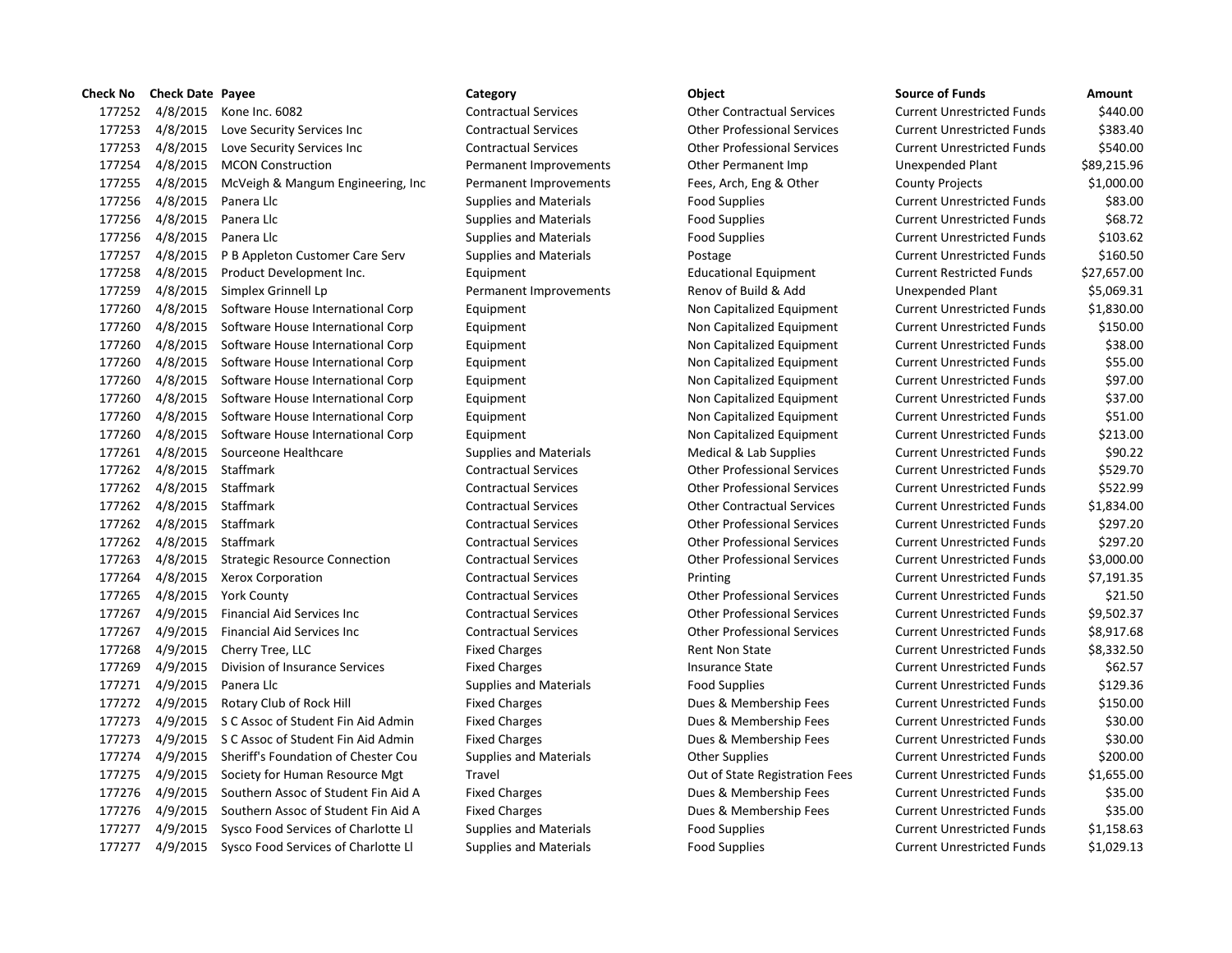| Check No | <b>Check Date Payee</b> |                                              | Category                      | Object                             | <b>Source of Funds</b>            | Amount     |
|----------|-------------------------|----------------------------------------------|-------------------------------|------------------------------------|-----------------------------------|------------|
| 177252   |                         | 4/8/2015 Kone Inc. 6082                      | <b>Contractual Services</b>   | <b>Other Contractual Services</b>  | <b>Current Unrestricted Funds</b> | \$440.     |
| 177253   | 4/8/2015                | Love Security Services Inc                   | <b>Contractual Services</b>   | <b>Other Professional Services</b> | <b>Current Unrestricted Funds</b> | \$383.4    |
| 177253   | 4/8/2015                | Love Security Services Inc                   | <b>Contractual Services</b>   | <b>Other Professional Services</b> | <b>Current Unrestricted Funds</b> | \$540.0    |
| 177254   | 4/8/2015                | <b>MCON Construction</b>                     | Permanent Improvements        | Other Permanent Imp                | Unexpended Plant                  | \$89,215.  |
| 177255   | 4/8/2015                | McVeigh & Mangum Engineering, Inc.           | Permanent Improvements        | Fees, Arch, Eng & Other            | <b>County Projects</b>            | \$1,000.0  |
| 177256   | 4/8/2015                | Panera Llc                                   | <b>Supplies and Materials</b> | <b>Food Supplies</b>               | <b>Current Unrestricted Funds</b> | \$83.0     |
| 177256   | 4/8/2015                | Panera Llc                                   | <b>Supplies and Materials</b> | <b>Food Supplies</b>               | <b>Current Unrestricted Funds</b> | \$68.      |
| 177256   | 4/8/2015                | Panera Llc                                   | <b>Supplies and Materials</b> | <b>Food Supplies</b>               | <b>Current Unrestricted Funds</b> | \$103.0    |
| 177257   | 4/8/2015                | P B Appleton Customer Care Serv              | <b>Supplies and Materials</b> | Postage                            | <b>Current Unrestricted Funds</b> | \$160.     |
| 177258   | 4/8/2015                | Product Development Inc.                     | Equipment                     | <b>Educational Equipment</b>       | <b>Current Restricted Funds</b>   | \$27,657.0 |
| 177259   | 4/8/2015                | Simplex Grinnell Lp                          | Permanent Improvements        | Renov of Build & Add               | Unexpended Plant                  | \$5,069.3  |
| 177260   | 4/8/2015                | Software House International Corp            | Equipment                     | Non Capitalized Equipment          | <b>Current Unrestricted Funds</b> | \$1,830.0  |
| 177260   | 4/8/2015                | Software House International Corp            | Equipment                     | Non Capitalized Equipment          | <b>Current Unrestricted Funds</b> | \$150.0    |
| 177260   | 4/8/2015                | Software House International Corp            | Equipment                     | Non Capitalized Equipment          | <b>Current Unrestricted Funds</b> | \$38.0     |
| 177260   | 4/8/2015                | Software House International Corp            | Equipment                     | Non Capitalized Equipment          | <b>Current Unrestricted Funds</b> | \$55.0     |
| 177260   | 4/8/2015                | Software House International Corp            | Equipment                     | Non Capitalized Equipment          | <b>Current Unrestricted Funds</b> | \$97.0     |
| 177260   | 4/8/2015                | Software House International Corp            | Equipment                     | Non Capitalized Equipment          | <b>Current Unrestricted Funds</b> | \$37.0     |
| 177260   | 4/8/2015                | Software House International Corp            | Equipment                     | Non Capitalized Equipment          | <b>Current Unrestricted Funds</b> | \$51.0     |
| 177260   | 4/8/2015                | Software House International Corp            | Equipment                     | Non Capitalized Equipment          | <b>Current Unrestricted Funds</b> | \$213.0    |
| 177261   | 4/8/2015                | Sourceone Healthcare                         | <b>Supplies and Materials</b> | Medical & Lab Supplies             | <b>Current Unrestricted Funds</b> | \$90.      |
| 177262   | 4/8/2015                | Staffmark                                    | <b>Contractual Services</b>   | <b>Other Professional Services</b> | <b>Current Unrestricted Funds</b> | \$529.     |
| 177262   | 4/8/2015                | Staffmark                                    | <b>Contractual Services</b>   | <b>Other Professional Services</b> | <b>Current Unrestricted Funds</b> | \$522.9    |
| 177262   | 4/8/2015                | Staffmark                                    | <b>Contractual Services</b>   | <b>Other Contractual Services</b>  | <b>Current Unrestricted Funds</b> | \$1,834.0  |
| 177262   | 4/8/2015                | Staffmark                                    | <b>Contractual Services</b>   | <b>Other Professional Services</b> | <b>Current Unrestricted Funds</b> | \$297.     |
| 177262   | 4/8/2015                | Staffmark                                    | <b>Contractual Services</b>   | <b>Other Professional Services</b> | <b>Current Unrestricted Funds</b> | \$297.     |
| 177263   | 4/8/2015                | <b>Strategic Resource Connection</b>         | <b>Contractual Services</b>   | <b>Other Professional Services</b> | <b>Current Unrestricted Funds</b> | \$3,000.   |
| 177264   |                         | 4/8/2015 Xerox Corporation                   | <b>Contractual Services</b>   | Printing                           | <b>Current Unrestricted Funds</b> | \$7,191.3  |
| 177265   |                         | 4/8/2015 York County                         | <b>Contractual Services</b>   | <b>Other Professional Services</b> | <b>Current Unrestricted Funds</b> | \$21.5     |
| 177267   | 4/9/2015                | Financial Aid Services Inc                   | <b>Contractual Services</b>   | <b>Other Professional Services</b> | <b>Current Unrestricted Funds</b> | \$9,502.   |
| 177267   | 4/9/2015                | <b>Financial Aid Services Inc</b>            | <b>Contractual Services</b>   | <b>Other Professional Services</b> | <b>Current Unrestricted Funds</b> | \$8,917.   |
| 177268   | 4/9/2015                | Cherry Tree, LLC                             | <b>Fixed Charges</b>          | <b>Rent Non State</b>              | <b>Current Unrestricted Funds</b> | \$8,332.   |
| 177269   | 4/9/2015                | Division of Insurance Services               | <b>Fixed Charges</b>          | <b>Insurance State</b>             | <b>Current Unrestricted Funds</b> | \$62.      |
| 177271   | 4/9/2015                | Panera Llc                                   | <b>Supplies and Materials</b> | <b>Food Supplies</b>               | <b>Current Unrestricted Funds</b> | \$129.3    |
| 177272   | 4/9/2015                | Rotary Club of Rock Hill                     | <b>Fixed Charges</b>          | Dues & Membership Fees             | <b>Current Unrestricted Funds</b> | \$150.0    |
| 177273   | 4/9/2015                | S C Assoc of Student Fin Aid Admin           | <b>Fixed Charges</b>          | Dues & Membership Fees             | <b>Current Unrestricted Funds</b> | \$30.0     |
| 177273   |                         | 4/9/2015 S C Assoc of Student Fin Aid Admin  | <b>Fixed Charges</b>          | Dues & Membership Fees             | <b>Current Unrestricted Funds</b> | \$30.0     |
| 177274   |                         | 4/9/2015 Sheriff's Foundation of Chester Cou | <b>Supplies and Materials</b> | <b>Other Supplies</b>              | <b>Current Unrestricted Funds</b> | \$200.0    |
| 177275   | 4/9/2015                | Society for Human Resource Mgt               | Travel                        | Out of State Registration Fees     | <b>Current Unrestricted Funds</b> | \$1,655.0  |
| 177276   | 4/9/2015                | Southern Assoc of Student Fin Aid A          | <b>Fixed Charges</b>          | Dues & Membership Fees             | <b>Current Unrestricted Funds</b> | \$35.0     |
| 177276   | 4/9/2015                | Southern Assoc of Student Fin Aid A          | <b>Fixed Charges</b>          | Dues & Membership Fees             | <b>Current Unrestricted Funds</b> | \$35.0     |
| 177277   | 4/9/2015                | Sysco Food Services of Charlotte Ll          | <b>Supplies and Materials</b> | <b>Food Supplies</b>               | <b>Current Unrestricted Funds</b> | \$1,158.0  |
| 177277   |                         | 4/9/2015 Sysco Food Services of Charlotte LI | <b>Supplies and Materials</b> | <b>Food Supplies</b>               | <b>Current Unrestricted Funds</b> | \$1,029.   |
|          |                         |                                              |                               |                                    |                                   |            |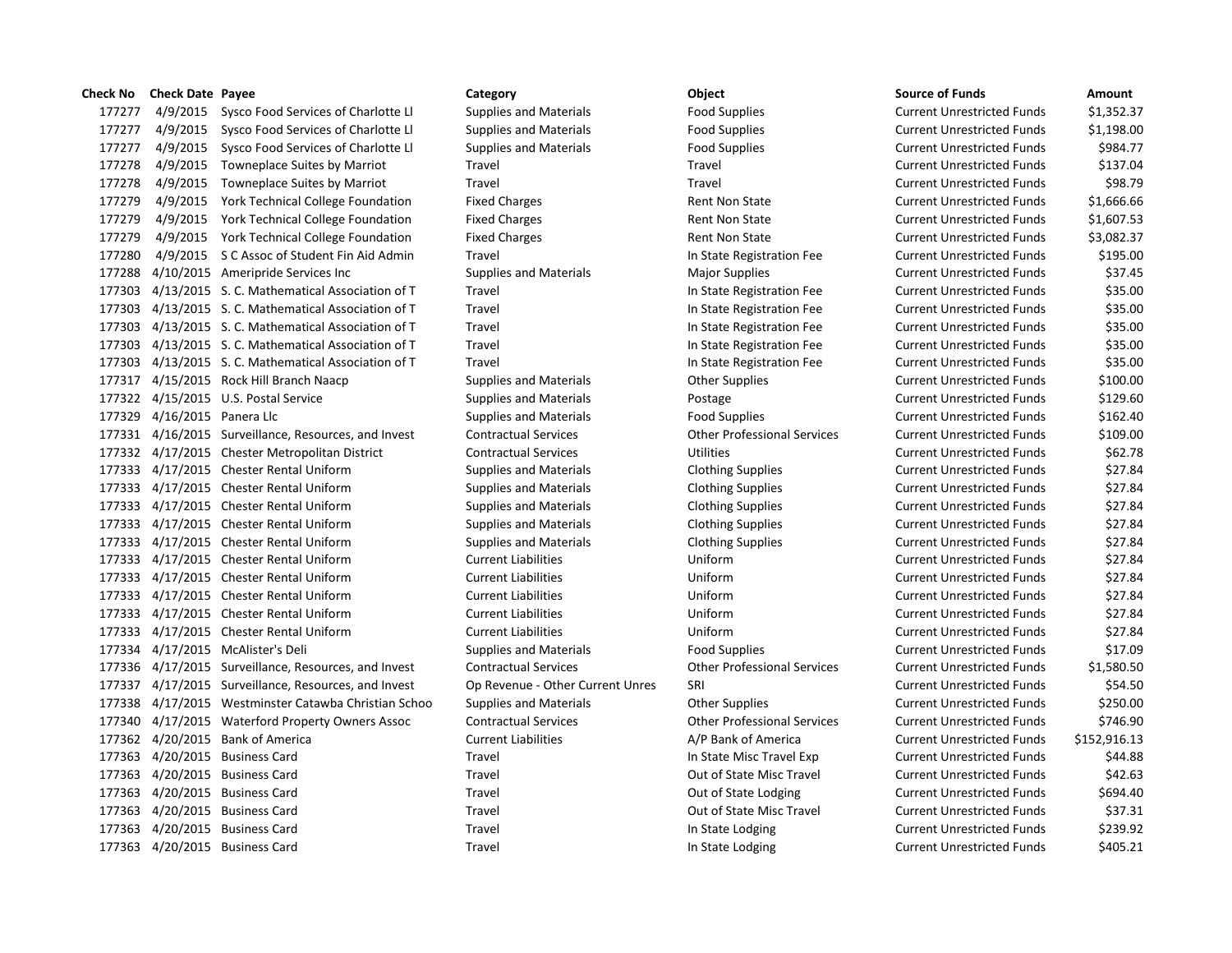# 4/9/2015 Sysco Food Services of Charlotte Ll Supplies and Materials Food Supplies Current Unrestricted Funds \$1,352.37 4/9/2015 Sysco Food Services of Charlotte Ll Supplies and Materials Food Supplies Current Unrestricted Funds \$1,198.00 4/9/2015 Sysco Food Services of Charlotte Ll Supplies and Materials Food Supplies Current Unrestricted Funds \$984.77 4/9/2015 Towneplace Suites by Marriot Travel Travel Current Unrestricted Funds \$137.04 4/9/2015 Towneplace Suites by Marriot Travel Travel Current Unrestricted Funds \$98.79 4/9/2015 York Technical College Foundation Fixed Charges Rent Non State Current Unrestricted Funds \$1,666.66 4/9/2015 York Technical College Foundation Fixed Charges Rent Non State Current Unrestricted Funds \$1,607.53 4/9/2015 York Technical College Foundation Fixed Charges Rent Non State Current Unrestricted Funds \$3,082.37 4/9/2015 S C Assoc of Student Fin Aid Admin Travel In State Registration Fee Current Unrestricted Funds \$195.00 4/10/2015 Ameripride Services Inc Supplies and Materials Major Supplies Current Unrestricted Funds \$37.45 4/13/2015 S. C. Mathematical Association of T Travel In State Registration Fee Current Unrestricted Funds \$35.00 4/13/2015 S. C. Mathematical Association of T Travel In State Registration Fee Current Unrestricted Funds \$35.00 4/13/2015 S. C. Mathematical Association of T Travel In State Registration Fee Current Unrestricted Funds \$35.00 4/13/2015 S. C. Mathematical Association of T Travel In State Registration Fee Current Unrestricted Funds \$35.00 4/13/2015 S. C. Mathematical Association of T Travel In State Registration Fee Current Unrestricted Funds \$35.00 4/15/2015 Rock Hill Branch Naacp Supplies and Materials Other Supplies Current Unrestricted Funds \$100.00 177322 4/15/2015 U.S. Postal Service Supplies and Materials Postage Postage Current Unrestricted Funds \$129.60 177329 4/16/2015 Panera Llc Supplies and Materials Food Supplies Food Supplies Current Unrestricted Funds \$162.40 4/16/2015 Surveillance, Resources, and Invest Contractual Services Other Professional Services Current Unrestricted Funds \$109.00 4/17/2015 Chester Metropolitan District Contractual Services Utilities Current Unrestricted Funds \$62.78 4/17/2015 Chester Rental Uniform Supplies and Materials Clothing Supplies Current Unrestricted Funds \$27.84 4/17/2015 Chester Rental Uniform Supplies and Materials Clothing Supplies Current Unrestricted Funds \$27.84 4/17/2015 Chester Rental Uniform Supplies and Materials Clothing Supplies Current Unrestricted Funds \$27.84 4/17/2015 Chester Rental Uniform Supplies and Materials Clothing Supplies Current Unrestricted Funds \$27.84 4/17/2015 Chester Rental Uniform Supplies and Materials Clothing Supplies Current Unrestricted Funds \$27.84 4/17/2015 Chester Rental Uniform Current Liabilities Uniform Current Unrestricted Funds \$27.84 4/17/2015 Chester Rental Uniform Current Liabilities Uniform Current Unrestricted Funds \$27.84 4/17/2015 Chester Rental Uniform Current Liabilities Uniform Current Unrestricted Funds \$27.84 4/17/2015 Chester Rental Uniform Current Liabilities Uniform Current Unrestricted Funds \$27.84 4/17/2015 Chester Rental Uniform Current Liabilities Uniform Current Unrestricted Funds \$27.84 4/17/2015 McAlister's Deli Supplies and Materials Food Supplies Current Unrestricted Funds \$17.09 4/17/2015 Surveillance, Resources, and Invest Contractual Services Other Professional Services Current Unrestricted Funds \$1,580.50 4/17/2015 Surveillance, Resources, and Invest Op Revenue - Other Current Unres SRI Current Unrestricted Funds \$54.50 4/17/2015 Westminster Catawba Christian Schoo Supplies and Materials Other Supplies Current Unrestricted Funds \$250.00 4/17/2015 Waterford Property Owners Assoc Contractual Services Other Professional Services Current Unrestricted Funds \$746.90 4/20/2015 Bank of America Current Liabilities A/P Bank of America Current Unrestricted Funds \$152,916.13 4/20/2015 Business Card Travel In State Misc Travel Exp Current Unrestricted Funds \$44.88 4/20/2015 Business Card Travel Out of State Misc Travel Current Unrestricted Funds \$42.63 177363 4/20/2015 Business Card Travel Travel Travel Out of State Lodging Current Unrestricted Funds \$694.40 4/20/2015 Business Card Travel Out of State Misc Travel Current Unrestricted Funds \$37.31 4/20/2015 Business Card Travel In State Lodging Current Unrestricted Funds \$239.92 177363 4/20/2015 Business Card Travel Travel Travel Current Unrestricted Funds S405.21

# **Check No Check Date Payee Category Object Source of Funds Amount**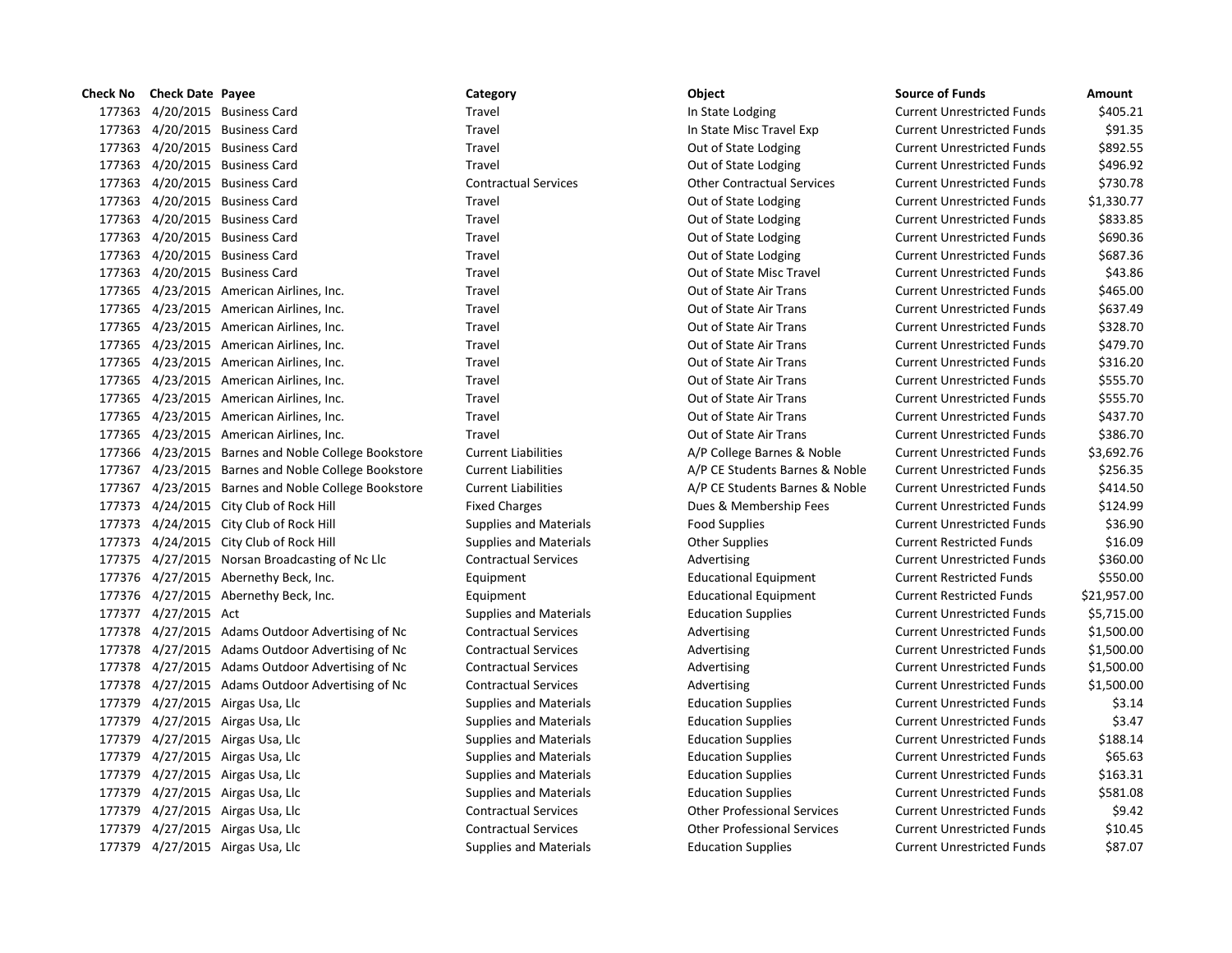| Check No | <b>Check Date Payee</b> |                                                     | Category                      | Object                             | <b>Source of Funds</b>            | Amount    |
|----------|-------------------------|-----------------------------------------------------|-------------------------------|------------------------------------|-----------------------------------|-----------|
| 177363   |                         | 4/20/2015 Business Card                             | Travel                        | In State Lodging                   | <b>Current Unrestricted Funds</b> | \$405.    |
|          |                         | 177363 4/20/2015 Business Card                      | Travel                        | In State Misc Travel Exp           | <b>Current Unrestricted Funds</b> | \$91.3    |
|          |                         | 177363 4/20/2015 Business Card                      | Travel                        | Out of State Lodging               | <b>Current Unrestricted Funds</b> | \$892.    |
|          |                         | 177363 4/20/2015 Business Card                      | Travel                        | Out of State Lodging               | <b>Current Unrestricted Funds</b> | \$496.9   |
|          |                         | 177363 4/20/2015 Business Card                      | <b>Contractual Services</b>   | <b>Other Contractual Services</b>  | <b>Current Unrestricted Funds</b> | \$730.    |
| 177363   |                         | 4/20/2015 Business Card                             | Travel                        | Out of State Lodging               | <b>Current Unrestricted Funds</b> | \$1,330.  |
|          |                         | 177363 4/20/2015 Business Card                      | Travel                        | Out of State Lodging               | <b>Current Unrestricted Funds</b> | \$833.8   |
|          |                         | 177363 4/20/2015 Business Card                      | Travel                        | Out of State Lodging               | <b>Current Unrestricted Funds</b> | \$690.3   |
|          |                         | 177363 4/20/2015 Business Card                      | Travel                        | Out of State Lodging               | <b>Current Unrestricted Funds</b> | \$687.    |
| 177363   |                         | 4/20/2015 Business Card                             | Travel                        | Out of State Misc Travel           | <b>Current Unrestricted Funds</b> | \$43.8    |
|          |                         | 177365 4/23/2015 American Airlines, Inc.            | Travel                        | Out of State Air Trans             | <b>Current Unrestricted Funds</b> | \$465.    |
|          |                         | 177365 4/23/2015 American Airlines, Inc.            | Travel                        | Out of State Air Trans             | <b>Current Unrestricted Funds</b> | \$637.4   |
|          |                         | 177365 4/23/2015 American Airlines, Inc.            | Travel                        | Out of State Air Trans             | <b>Current Unrestricted Funds</b> | \$328.    |
| 177365   |                         | 4/23/2015 American Airlines, Inc.                   | Travel                        | Out of State Air Trans             | <b>Current Unrestricted Funds</b> | \$479.    |
|          |                         | 177365 4/23/2015 American Airlines, Inc.            | Travel                        | Out of State Air Trans             | <b>Current Unrestricted Funds</b> | \$316.    |
|          |                         | 177365 4/23/2015 American Airlines, Inc.            | Travel                        | Out of State Air Trans             | <b>Current Unrestricted Funds</b> | \$555.    |
|          |                         | 177365 4/23/2015 American Airlines, Inc.            | Travel                        | Out of State Air Trans             | <b>Current Unrestricted Funds</b> | \$555.    |
|          |                         | 177365 4/23/2015 American Airlines, Inc.            | Travel                        | Out of State Air Trans             | <b>Current Unrestricted Funds</b> | \$437.    |
|          |                         | 177365 4/23/2015 American Airlines, Inc.            | Travel                        | Out of State Air Trans             | <b>Current Unrestricted Funds</b> | \$386.    |
|          |                         | 177366 4/23/2015 Barnes and Noble College Bookstore | <b>Current Liabilities</b>    | A/P College Barnes & Noble         | <b>Current Unrestricted Funds</b> | \$3,692.  |
|          |                         | 177367 4/23/2015 Barnes and Noble College Bookstore | <b>Current Liabilities</b>    | A/P CE Students Barnes & Noble     | <b>Current Unrestricted Funds</b> | \$256.    |
|          |                         | 177367 4/23/2015 Barnes and Noble College Bookstore | <b>Current Liabilities</b>    | A/P CE Students Barnes & Noble     | <b>Current Unrestricted Funds</b> | \$414.    |
|          |                         | 177373 4/24/2015 City Club of Rock Hill             | <b>Fixed Charges</b>          | Dues & Membership Fees             | <b>Current Unrestricted Funds</b> | \$124.9   |
|          |                         | 177373 4/24/2015 City Club of Rock Hill             | <b>Supplies and Materials</b> | <b>Food Supplies</b>               | <b>Current Unrestricted Funds</b> | \$36.9    |
|          |                         | 177373 4/24/2015 City Club of Rock Hill             | <b>Supplies and Materials</b> | <b>Other Supplies</b>              | <b>Current Restricted Funds</b>   | \$16.0    |
|          |                         | 177375 4/27/2015 Norsan Broadcasting of Nc Llc      | <b>Contractual Services</b>   | Advertising                        | <b>Current Unrestricted Funds</b> | \$360.0   |
|          |                         | 177376 4/27/2015 Abernethy Beck, Inc.               | Equipment                     | <b>Educational Equipment</b>       | <b>Current Restricted Funds</b>   | \$550.0   |
|          |                         | 177376 4/27/2015 Abernethy Beck, Inc.               | Equipment                     | <b>Educational Equipment</b>       | <b>Current Restricted Funds</b>   | \$21,957. |
|          | 177377 4/27/2015 Act    |                                                     | <b>Supplies and Materials</b> | <b>Education Supplies</b>          | <b>Current Unrestricted Funds</b> | \$5,715.0 |
|          |                         | 177378 4/27/2015 Adams Outdoor Advertising of Nc    | <b>Contractual Services</b>   | Advertising                        | <b>Current Unrestricted Funds</b> | \$1,500.  |
|          |                         | 177378 4/27/2015 Adams Outdoor Advertising of Nc    | <b>Contractual Services</b>   | Advertising                        | <b>Current Unrestricted Funds</b> | \$1,500.  |
|          |                         | 177378 4/27/2015 Adams Outdoor Advertising of Nc    | <b>Contractual Services</b>   | Advertising                        | <b>Current Unrestricted Funds</b> | \$1,500.  |
|          |                         | 177378 4/27/2015 Adams Outdoor Advertising of Nc    | <b>Contractual Services</b>   | Advertising                        | <b>Current Unrestricted Funds</b> | \$1,500.  |
|          |                         | 177379 4/27/2015 Airgas Usa, Llc                    | <b>Supplies and Materials</b> | <b>Education Supplies</b>          | <b>Current Unrestricted Funds</b> | \$3.1     |
| 177379   |                         | 4/27/2015 Airgas Usa, Llc                           | <b>Supplies and Materials</b> | <b>Education Supplies</b>          | <b>Current Unrestricted Funds</b> | \$3.4     |
|          |                         | 177379 4/27/2015 Airgas Usa, Llc                    | <b>Supplies and Materials</b> | <b>Education Supplies</b>          | <b>Current Unrestricted Funds</b> | \$188.    |
|          |                         | 177379 4/27/2015 Airgas Usa, Llc                    | <b>Supplies and Materials</b> | <b>Education Supplies</b>          | <b>Current Unrestricted Funds</b> | \$65.0    |
| 177379   |                         | 4/27/2015 Airgas Usa, Llc                           | <b>Supplies and Materials</b> | <b>Education Supplies</b>          | <b>Current Unrestricted Funds</b> | \$163.3   |
| 177379   |                         | 4/27/2015 Airgas Usa, Llc                           | <b>Supplies and Materials</b> | <b>Education Supplies</b>          | <b>Current Unrestricted Funds</b> | \$581.    |
|          |                         | 177379 4/27/2015 Airgas Usa, Llc                    | <b>Contractual Services</b>   | <b>Other Professional Services</b> | <b>Current Unrestricted Funds</b> | \$9.4     |
|          |                         | 177379 4/27/2015 Airgas Usa, Llc                    | <b>Contractual Services</b>   | <b>Other Professional Services</b> | <b>Current Unrestricted Funds</b> | \$10.4    |
|          |                         | 177379 4/27/2015 Airgas Usa, Llc                    | <b>Supplies and Materials</b> | <b>Education Supplies</b>          | <b>Current Unrestricted Funds</b> | \$87.0    |

# 177363 10 10 15 Travel In State Lodging Current Unrestricted Funds \$405.21 177363 4/20/2015 Business Card Travel In State Misc Travel Exp Current Unrestricted Funds \$91.35 177363 4/20/2015 Business Card Travel Out of State Lodging Current Unrestricted Funds \$892.55 1738 Travel **177363 177363 External Travel Current Unrestricted Funds** 5496.92 177363 4/20/2015 Business Card Contractual Services Other Contractual Services Current Unrestricted Funds \$730.78 177363 4/20/2015 Business Card Travel Out of State Lodging Current Unrestricted Funds \$1,330.77 17736 Travel 18833.85 and Travel Out of State Lodging Current Unrestricted Funds \$833.85 177363 177368 177364 177364 4/2015 Business Current Unrestricted Funds 5690.36 17736 1773681 1773681 1773681 4/2015 Business Current Unrestricted Funds \$687.36 177363 4/20/2015 Business Card Travel Out of State Misc Travel Current Unrestricted Funds \$43.86 17736 177365 177365 American Airlines, Inc. Travel Out of State Air Trans Current Unrestricted Funds \$465.00 177365 4/23/2015 American Airlines, Inc. Travel Out of State Air Trans Current Unrestricted Funds \$637.49 177365 4/23/2015 American Airlines, Inc. Travel Out of State Air Trans Current Unrestricted Funds \$328.70 177365 4/23/2015 American Airlines, Inc. Travel Out of State Air Trans Current Unrestricted Funds \$479.70 17736 17736 17736 17736 American Airlines, Inc. 2015 Australian Airlines, Inc. 2016. Trans Current Unrestricted Funds \$316.20 177365 4/23/2015 American Airlines, Inc. Travel Out of State Air Trans Current Unrestricted Funds \$555.70 17736 17736 12315 American Airlines, Inc. 2015 Australian Airlines, Inc. 2016 1917 American Airlines, Inc. 20 177365 177366 177366 177366 Airlines, Inc. Travel Out of State Air Trans Current Unrestricted Funds \$437.70 177365 4/23/2015 American Airlines, Inc. Travel Out of State Air Trans Current Unrestricted Funds \$386.70 tore Current Liabilities **A/P College Barnes & Noble Current Unrestricted Funds** \$3,692.76 1773 677367 17736 Eurrent Liabilities A/P CE Students Barnes & Noble Current Unrestricted Funds \$256.35 17736 17736 17736 Eurrent Liabilities Current Liabilities A/P CE Students Barnes & Noble Current Unrestricted Funds \$414.50 Fixed Charges **1773** Exercise Current Unrestricted Funds 5124.99 177373 4/24/2015 City Club of Rock Hill Supplies and Materials Food Supplies Current Unrestricted Funds \$36.90 177373 4/24/2015 City Club of Rock Hill Supplies and Materials Other Supplies Current Restricted Funds \$16.09 17736 Contractual Services **Advertising Current Unrestricted Funds** \$360.00 177376 4/27/2015 Abernethy Beck, Inc. Equipment Educational Equipment Current Restricted Funds \$550.00 177376 4/27/2015 Abernethy Beck, Inc. Equipment Educational Equipment Current Restricted Funds \$21,957.00 177377 4/27/2015 Act Supplies and Materials Education Supplies Current Unrestricted Funds \$5,715.00 17500.00 17736 Contractual Services of Networks Advertising Current Unrestricted Funds Current Unrestricted Funds 1773 17738 Contractual Services of Networkship Advertising Current Unrestricted Funds Current Unrestricted Funds 17500.00 17736 Contractual Services of Networks Advertising Current Unrestricted Funds Current Unrestricted Funds 17500.00 17736 Contractual Services of Networks Advertising Current Unrestricted Funds Current Unrestricted Funds 177379 4/27/2015 Airgas Usa, Llc Supplies and Materials Education Supplies Current Unrestricted Funds \$3.14 177379 4/27/2015 Airgas Usa, Llc Supplies and Materials Education Supplies Current Unrestricted Funds \$3.47 177379 4/27/2015 Airgas Usa, Llc Supplies and Materials Education Supplies Current Unrestricted Funds \$188.14 177379 4/27/2015 Airgas Usa, Llc Supplies and Materials Education Supplies Current Unrestricted Funds \$65.63 177379 4/27/2015 Airgas Usa, Llc Supplies and Materials Education Supplies Current Unrestricted Funds \$163.31 177379 4/27/2015 Airgas Usa, Llc Supplies and Materials Education Supplies Current Unrestricted Funds \$581.08 177379 4/27/2015 Airgas Usa, Llc Contractual Services Other Professional Services Current Unrestricted Funds \$9.42 177379 4/27/2015 Airgas Usa, Llc Contractual Services Other Professional Services Current Unrestricted Funds \$10.45 177379 4/27/2015 Airgas Usa, Llc Supplies and Materials Education Supplies Current Unrestricted Funds \$87.07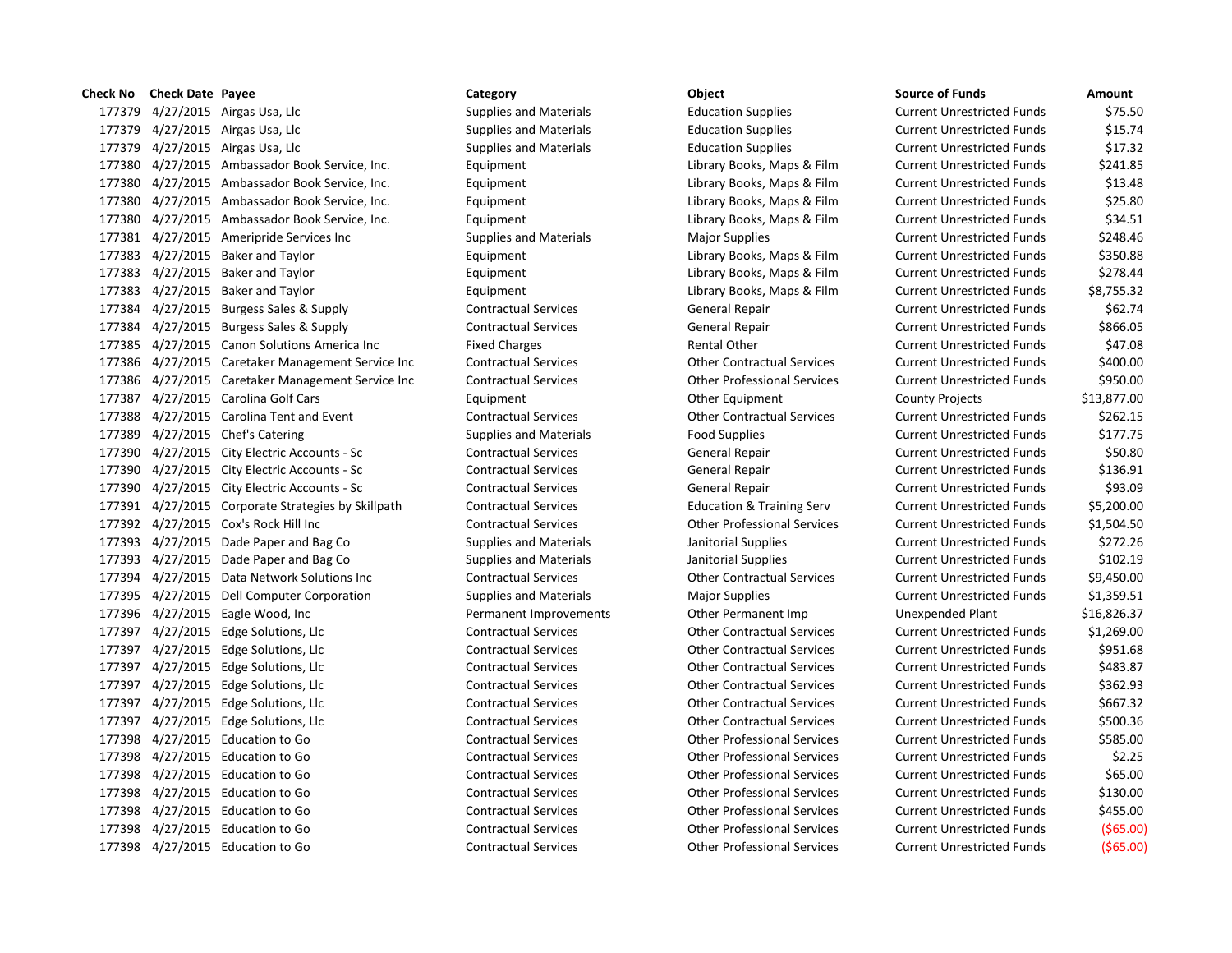| טווכנו <i>ג</i> ועט | CHECK DATE LAYEE |                                                    | categoi y                     | onicrr                               | JUUILE UI FUIIUJ                  | AIIIvuit    |
|---------------------|------------------|----------------------------------------------------|-------------------------------|--------------------------------------|-----------------------------------|-------------|
|                     |                  | 177379 4/27/2015 Airgas Usa, Llc                   | <b>Supplies and Materials</b> | <b>Education Supplies</b>            | <b>Current Unrestricted Funds</b> | \$75.50     |
|                     |                  | 177379 4/27/2015 Airgas Usa, Llc                   | <b>Supplies and Materials</b> | <b>Education Supplies</b>            | <b>Current Unrestricted Funds</b> | \$15.74     |
|                     |                  | 177379 4/27/2015 Airgas Usa, Llc                   | <b>Supplies and Materials</b> | <b>Education Supplies</b>            | <b>Current Unrestricted Funds</b> | \$17.32     |
|                     |                  | 177380 4/27/2015 Ambassador Book Service, Inc.     | Equipment                     | Library Books, Maps & Film           | <b>Current Unrestricted Funds</b> | \$241.85    |
|                     |                  | 177380 4/27/2015 Ambassador Book Service, Inc.     | Equipment                     | Library Books, Maps & Film           | <b>Current Unrestricted Funds</b> | \$13.48     |
|                     |                  | 177380 4/27/2015 Ambassador Book Service, Inc.     | Equipment                     | Library Books, Maps & Film           | <b>Current Unrestricted Funds</b> | \$25.80     |
|                     |                  | 177380 4/27/2015 Ambassador Book Service, Inc.     | Equipment                     | Library Books, Maps & Film           | <b>Current Unrestricted Funds</b> | \$34.51     |
|                     |                  | 177381 4/27/2015 Ameripride Services Inc           | <b>Supplies and Materials</b> | <b>Major Supplies</b>                | <b>Current Unrestricted Funds</b> | \$248.46    |
|                     |                  | 177383 4/27/2015 Baker and Taylor                  | Equipment                     | Library Books, Maps & Film           | <b>Current Unrestricted Funds</b> | \$350.88    |
|                     |                  | 177383 4/27/2015 Baker and Taylor                  | Equipment                     | Library Books, Maps & Film           | <b>Current Unrestricted Funds</b> | \$278.44    |
|                     |                  | 177383 4/27/2015 Baker and Taylor                  | Equipment                     | Library Books, Maps & Film           | <b>Current Unrestricted Funds</b> | \$8,755.32  |
|                     |                  | 177384 4/27/2015 Burgess Sales & Supply            | <b>Contractual Services</b>   | General Repair                       | <b>Current Unrestricted Funds</b> | \$62.74     |
|                     |                  | 177384 4/27/2015 Burgess Sales & Supply            | <b>Contractual Services</b>   | General Repair                       | <b>Current Unrestricted Funds</b> | \$866.05    |
|                     |                  | 177385 4/27/2015 Canon Solutions America Inc       | <b>Fixed Charges</b>          | Rental Other                         | <b>Current Unrestricted Funds</b> | \$47.08     |
|                     |                  | 177386 4/27/2015 Caretaker Management Service Inc  | <b>Contractual Services</b>   | <b>Other Contractual Services</b>    | <b>Current Unrestricted Funds</b> | \$400.00    |
|                     |                  | 177386 4/27/2015 Caretaker Management Service Inc  | <b>Contractual Services</b>   | <b>Other Professional Services</b>   | <b>Current Unrestricted Funds</b> | \$950.00    |
|                     |                  | 177387 4/27/2015 Carolina Golf Cars                | Equipment                     | Other Equipment                      | <b>County Projects</b>            | \$13,877.00 |
|                     |                  | 177388 4/27/2015 Carolina Tent and Event           | <b>Contractual Services</b>   | <b>Other Contractual Services</b>    | <b>Current Unrestricted Funds</b> | \$262.15    |
|                     |                  | 177389 4/27/2015 Chef's Catering                   | <b>Supplies and Materials</b> | <b>Food Supplies</b>                 | <b>Current Unrestricted Funds</b> | \$177.75    |
|                     |                  | 177390 4/27/2015 City Electric Accounts - Sc       | <b>Contractual Services</b>   | General Repair                       | <b>Current Unrestricted Funds</b> | \$50.80     |
|                     |                  | 177390 4/27/2015 City Electric Accounts - Sc       | <b>Contractual Services</b>   | General Repair                       | <b>Current Unrestricted Funds</b> | \$136.91    |
|                     |                  | 177390 4/27/2015 City Electric Accounts - Sc       | <b>Contractual Services</b>   | General Repair                       | <b>Current Unrestricted Funds</b> | \$93.09     |
|                     |                  | 177391 4/27/2015 Corporate Strategies by Skillpath | <b>Contractual Services</b>   | <b>Education &amp; Training Serv</b> | <b>Current Unrestricted Funds</b> | \$5,200.00  |
|                     |                  | 177392 4/27/2015 Cox's Rock Hill Inc               | <b>Contractual Services</b>   | <b>Other Professional Services</b>   | <b>Current Unrestricted Funds</b> | \$1,504.50  |
|                     |                  | 177393 4/27/2015 Dade Paper and Bag Co             | <b>Supplies and Materials</b> | Janitorial Supplies                  | <b>Current Unrestricted Funds</b> | \$272.26    |
|                     |                  | 177393 4/27/2015 Dade Paper and Bag Co             | <b>Supplies and Materials</b> | Janitorial Supplies                  | <b>Current Unrestricted Funds</b> | \$102.19    |
|                     |                  | 177394 4/27/2015 Data Network Solutions Inc        | <b>Contractual Services</b>   | <b>Other Contractual Services</b>    | <b>Current Unrestricted Funds</b> | \$9,450.00  |
|                     |                  | 177395 4/27/2015 Dell Computer Corporation         | <b>Supplies and Materials</b> | <b>Major Supplies</b>                | <b>Current Unrestricted Funds</b> | \$1,359.51  |
|                     |                  | 177396 4/27/2015 Eagle Wood, Inc                   | Permanent Improvements        | Other Permanent Imp                  | Unexpended Plant                  | \$16,826.37 |
|                     |                  | 177397 4/27/2015 Edge Solutions, Llc               | <b>Contractual Services</b>   | <b>Other Contractual Services</b>    | <b>Current Unrestricted Funds</b> | \$1,269.00  |
|                     |                  | 177397 4/27/2015 Edge Solutions, Llc               | <b>Contractual Services</b>   | <b>Other Contractual Services</b>    | <b>Current Unrestricted Funds</b> | \$951.68    |
|                     |                  | 177397 4/27/2015 Edge Solutions, Llc               | <b>Contractual Services</b>   | <b>Other Contractual Services</b>    | <b>Current Unrestricted Funds</b> | \$483.87    |
|                     |                  | 177397 4/27/2015 Edge Solutions, Llc               | <b>Contractual Services</b>   | <b>Other Contractual Services</b>    | <b>Current Unrestricted Funds</b> | \$362.93    |
|                     |                  | 177397 4/27/2015 Edge Solutions, Llc               | <b>Contractual Services</b>   | <b>Other Contractual Services</b>    | <b>Current Unrestricted Funds</b> | \$667.32    |
|                     |                  | 177397 4/27/2015 Edge Solutions, Llc               | <b>Contractual Services</b>   | <b>Other Contractual Services</b>    | <b>Current Unrestricted Funds</b> | \$500.36    |
|                     |                  | 177398 4/27/2015 Education to Go                   | <b>Contractual Services</b>   | <b>Other Professional Services</b>   | <b>Current Unrestricted Funds</b> | \$585.00    |
|                     |                  | 177398 4/27/2015 Education to Go                   | <b>Contractual Services</b>   | <b>Other Professional Services</b>   | <b>Current Unrestricted Funds</b> | \$2.25      |
|                     |                  | 177398 4/27/2015 Education to Go                   | <b>Contractual Services</b>   | <b>Other Professional Services</b>   | <b>Current Unrestricted Funds</b> | \$65.00     |
|                     |                  | 177398 4/27/2015 Education to Go                   | <b>Contractual Services</b>   | <b>Other Professional Services</b>   | <b>Current Unrestricted Funds</b> | \$130.00    |
|                     |                  | 177398 4/27/2015 Education to Go                   | <b>Contractual Services</b>   | <b>Other Professional Services</b>   | <b>Current Unrestricted Funds</b> | \$455.00    |
|                     |                  | 177398 4/27/2015 Education to Go                   | <b>Contractual Services</b>   | <b>Other Professional Services</b>   | <b>Current Unrestricted Funds</b> | ( \$65.00)  |
|                     |                  | 177398 4/27/2015 Education to Go                   | <b>Contractual Services</b>   | <b>Other Professional Services</b>   | <b>Current Unrestricted Funds</b> | ( \$65.00)  |
|                     |                  |                                                    |                               |                                      |                                   |             |

| Check No | <b>Check Date Payee</b> |                                                    | Category                      | Object                               | <b>Source of Funds</b>            | Amount      |
|----------|-------------------------|----------------------------------------------------|-------------------------------|--------------------------------------|-----------------------------------|-------------|
| 177379   |                         | 4/27/2015 Airgas Usa, Llc                          | <b>Supplies and Materials</b> | <b>Education Supplies</b>            | <b>Current Unrestricted Funds</b> | \$75.50     |
| 177379   |                         | 4/27/2015 Airgas Usa, Llc                          | <b>Supplies and Materials</b> | <b>Education Supplies</b>            | <b>Current Unrestricted Funds</b> | \$15.74     |
| 177379   |                         | 4/27/2015 Airgas Usa, Llc                          | <b>Supplies and Materials</b> | <b>Education Supplies</b>            | <b>Current Unrestricted Funds</b> | \$17.32     |
| 177380   |                         | 4/27/2015 Ambassador Book Service, Inc.            | Equipment                     | Library Books, Maps & Film           | <b>Current Unrestricted Funds</b> | \$241.85    |
| 177380   |                         | 4/27/2015 Ambassador Book Service, Inc.            | Equipment                     | Library Books, Maps & Film           | <b>Current Unrestricted Funds</b> | \$13.48     |
| 177380   |                         | 4/27/2015 Ambassador Book Service, Inc.            | Equipment                     | Library Books, Maps & Film           | <b>Current Unrestricted Funds</b> | \$25.80     |
| 177380   |                         | 4/27/2015 Ambassador Book Service, Inc.            | Equipment                     | Library Books, Maps & Film           | <b>Current Unrestricted Funds</b> | \$34.51     |
| 177381   |                         | 4/27/2015 Ameripride Services Inc                  | <b>Supplies and Materials</b> | <b>Major Supplies</b>                | <b>Current Unrestricted Funds</b> | \$248.46    |
| 177383   |                         | 4/27/2015 Baker and Taylor                         | Equipment                     | Library Books, Maps & Film           | <b>Current Unrestricted Funds</b> | \$350.88    |
| 177383   |                         | 4/27/2015 Baker and Taylor                         | Equipment                     | Library Books, Maps & Film           | <b>Current Unrestricted Funds</b> | \$278.44    |
| 177383   |                         | 4/27/2015 Baker and Taylor                         | Equipment                     | Library Books, Maps & Film           | <b>Current Unrestricted Funds</b> | \$8,755.32  |
| 177384   |                         | 4/27/2015 Burgess Sales & Supply                   | <b>Contractual Services</b>   | General Repair                       | <b>Current Unrestricted Funds</b> | \$62.74     |
| 177384   |                         | 4/27/2015 Burgess Sales & Supply                   | <b>Contractual Services</b>   | General Repair                       | <b>Current Unrestricted Funds</b> | \$866.05    |
| 177385   |                         | 4/27/2015 Canon Solutions America Inc              | <b>Fixed Charges</b>          | <b>Rental Other</b>                  | <b>Current Unrestricted Funds</b> | \$47.08     |
| 177386   |                         | 4/27/2015 Caretaker Management Service Inc         | <b>Contractual Services</b>   | <b>Other Contractual Services</b>    | <b>Current Unrestricted Funds</b> | \$400.00    |
| 177386   |                         | 4/27/2015 Caretaker Management Service Inc         | <b>Contractual Services</b>   | <b>Other Professional Services</b>   | <b>Current Unrestricted Funds</b> | \$950.00    |
|          |                         | 177387 4/27/2015 Carolina Golf Cars                | Equipment                     | Other Equipment                      | <b>County Projects</b>            | \$13,877.00 |
| 177388   |                         | 4/27/2015 Carolina Tent and Event                  | <b>Contractual Services</b>   | <b>Other Contractual Services</b>    | <b>Current Unrestricted Funds</b> | \$262.15    |
| 177389   |                         | 4/27/2015 Chef's Catering                          | <b>Supplies and Materials</b> | <b>Food Supplies</b>                 | <b>Current Unrestricted Funds</b> | \$177.75    |
| 177390   |                         | 4/27/2015 City Electric Accounts - Sc              | <b>Contractual Services</b>   | <b>General Repair</b>                | <b>Current Unrestricted Funds</b> | \$50.80     |
| 177390   |                         | 4/27/2015 City Electric Accounts - Sc              | <b>Contractual Services</b>   | General Repair                       | <b>Current Unrestricted Funds</b> | \$136.91    |
|          |                         | 177390 4/27/2015 City Electric Accounts - Sc       | <b>Contractual Services</b>   | <b>General Repair</b>                | <b>Current Unrestricted Funds</b> | \$93.09     |
|          |                         | 177391 4/27/2015 Corporate Strategies by Skillpath | <b>Contractual Services</b>   | <b>Education &amp; Training Serv</b> | <b>Current Unrestricted Funds</b> | \$5,200.00  |
|          |                         | 177392 4/27/2015 Cox's Rock Hill Inc               | <b>Contractual Services</b>   | <b>Other Professional Services</b>   | <b>Current Unrestricted Funds</b> | \$1,504.50  |
|          |                         | 177393 4/27/2015 Dade Paper and Bag Co             | <b>Supplies and Materials</b> | Janitorial Supplies                  | <b>Current Unrestricted Funds</b> | \$272.26    |
|          |                         | 177393 4/27/2015 Dade Paper and Bag Co             | <b>Supplies and Materials</b> | Janitorial Supplies                  | <b>Current Unrestricted Funds</b> | \$102.19    |
|          |                         | 177394 4/27/2015 Data Network Solutions Inc        | <b>Contractual Services</b>   | <b>Other Contractual Services</b>    | <b>Current Unrestricted Funds</b> | \$9,450.00  |
|          |                         | 177395 4/27/2015 Dell Computer Corporation         | <b>Supplies and Materials</b> | <b>Major Supplies</b>                | <b>Current Unrestricted Funds</b> | \$1,359.51  |
|          |                         | 177396 4/27/2015 Eagle Wood, Inc                   | Permanent Improvements        | Other Permanent Imp                  | Unexpended Plant                  | \$16,826.37 |
|          |                         | 177397 4/27/2015 Edge Solutions, Llc               | <b>Contractual Services</b>   | <b>Other Contractual Services</b>    | <b>Current Unrestricted Funds</b> | \$1,269.00  |
|          |                         | 177397 4/27/2015 Edge Solutions, Llc               | <b>Contractual Services</b>   | <b>Other Contractual Services</b>    | <b>Current Unrestricted Funds</b> | \$951.68    |
|          |                         | 177397 4/27/2015 Edge Solutions, Llc               | <b>Contractual Services</b>   | <b>Other Contractual Services</b>    | <b>Current Unrestricted Funds</b> | \$483.87    |
|          |                         | 177397 4/27/2015 Edge Solutions, Llc               | <b>Contractual Services</b>   | <b>Other Contractual Services</b>    | <b>Current Unrestricted Funds</b> | \$362.93    |
|          |                         | 177397 4/27/2015 Edge Solutions, Llc               | <b>Contractual Services</b>   | <b>Other Contractual Services</b>    | <b>Current Unrestricted Funds</b> | \$667.32    |
|          |                         | 177397 4/27/2015 Edge Solutions, Llc               | <b>Contractual Services</b>   | <b>Other Contractual Services</b>    | <b>Current Unrestricted Funds</b> | \$500.36    |
| 177398   |                         | 4/27/2015 Education to Go                          | <b>Contractual Services</b>   | <b>Other Professional Services</b>   | <b>Current Unrestricted Funds</b> | \$585.00    |
| 177398   |                         | 4/27/2015 Education to Go                          | <b>Contractual Services</b>   | <b>Other Professional Services</b>   | <b>Current Unrestricted Funds</b> | \$2.25      |
| 177398   |                         | 4/27/2015 Education to Go                          | <b>Contractual Services</b>   | <b>Other Professional Services</b>   | <b>Current Unrestricted Funds</b> | \$65.00     |
| 177398   |                         | 4/27/2015 Education to Go                          | <b>Contractual Services</b>   | <b>Other Professional Services</b>   | <b>Current Unrestricted Funds</b> | \$130.00    |
| 177398   |                         | 4/27/2015 Education to Go                          | <b>Contractual Services</b>   | <b>Other Professional Services</b>   | <b>Current Unrestricted Funds</b> | \$455.00    |
|          |                         | 177398 4/27/2015 Education to Go                   | <b>Contractual Services</b>   | <b>Other Professional Services</b>   | <b>Current Unrestricted Funds</b> | (565.00     |
|          |                         | 177398 4/27/2015 Education to Go                   | <b>Contractual Services</b>   | <b>Other Professional Services</b>   | <b>Current Unrestricted Funds</b> | (565.00     |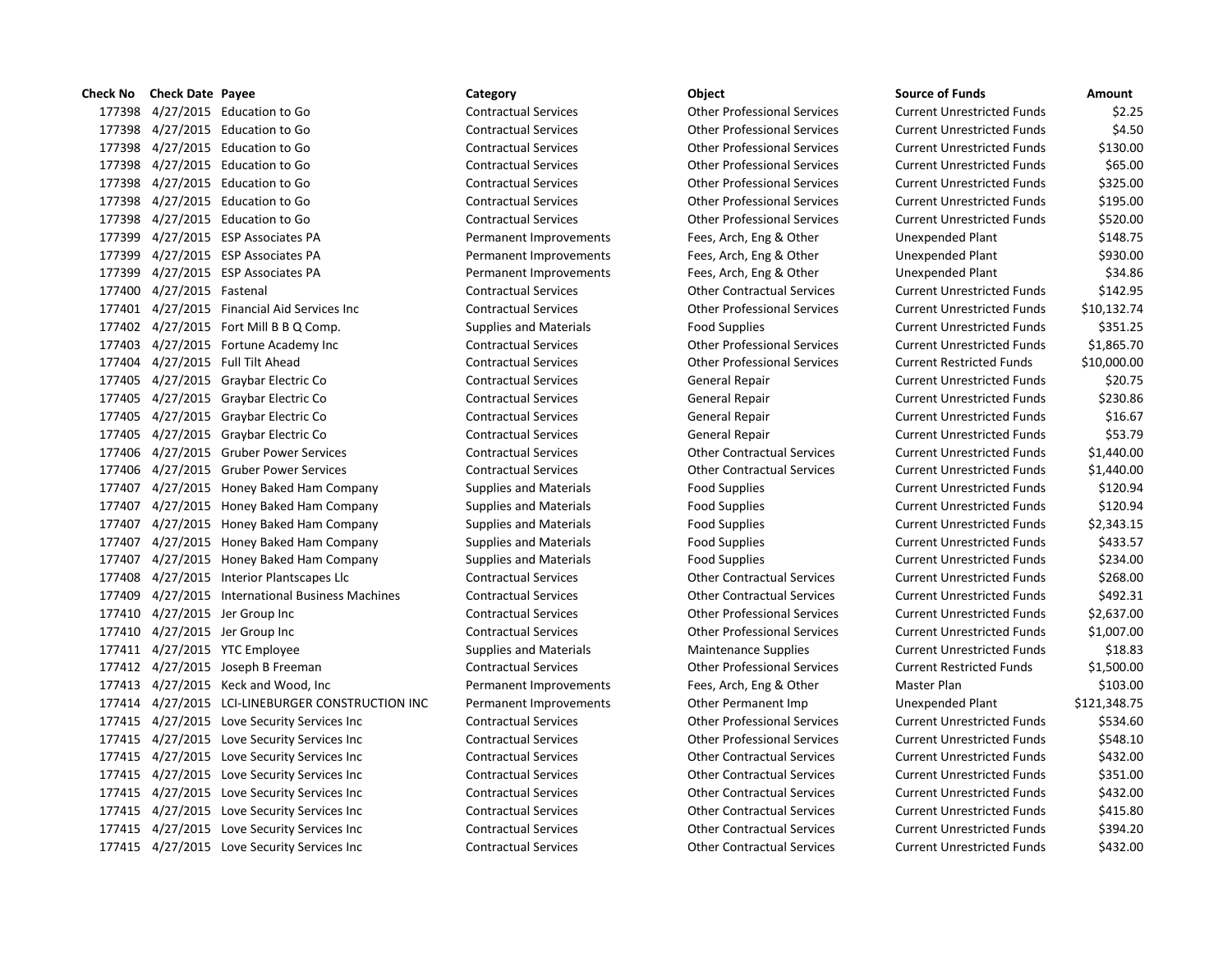4/27/2015 Education to Go Contractual Services Other Professional Services Current Unrestricted Funds \$2.25 4/27/2015 Education to Go Contractual Services Other Professional Services Current Unrestricted Funds \$4.50 4/27/2015 Education to Go Contractual Services Other Professional Services Current Unrestricted Funds \$130.00 4/27/2015 Education to Go Contractual Services Other Professional Services Current Unrestricted Funds \$65.00 4/27/2015 Education to Go Contractual Services Other Professional Services Current Unrestricted Funds \$325.00 4/27/2015 Education to Go Contractual Services Other Professional Services Current Unrestricted Funds \$195.00 4/27/2015 Education to Go Contractual Services Other Professional Services Current Unrestricted Funds \$520.00 4/27/2015 ESP Associates PA Permanent Improvements Fees, Arch, Eng & Other Unexpended Plant \$148.75 177399 4/27/2015 ESP Associates PA **Permanent Improvements** Fees, Arch, Eng & Other Unexpended Plant \$930.00 4/27/2015 ESP Associates PA Permanent Improvements Fees, Arch, Eng & Other Unexpended Plant \$34.86 4/27/2015 Fastenal Contractual Services Other Contractual Services Current Unrestricted Funds \$142.95 4/27/2015 Financial Aid Services Inc Contractual Services Other Professional Services Current Unrestricted Funds \$10,132.74 4/27/2015 Fort Mill B B Q Comp. Supplies and Materials Food Supplies Current Unrestricted Funds \$351.25 4/27/2015 Fortune Academy Inc Contractual Services Other Professional Services Current Unrestricted Funds \$1,865.70 4/27/2015 Full Tilt Ahead Contractual Services Other Professional Services Current Restricted Funds \$10,000.00 4/27/2015 Graybar Electric Co Contractual Services General Repair Current Unrestricted Funds \$20.75 177405 4/27/2015 Graybar Electric Co Contractual Services General Repair Current Unrestricted Funds \$230.86 177405 4/27/2015 Graybar Electric Co Contractual Services General Repair Current Unrestricted Funds \$16.67 177405 4/27/2015 Graybar Electric Co Contractual Services General Repair Current Unrestricted Funds \$53.79 4/27/2015 Gruber Power Services Contractual Services Other Contractual Services Current Unrestricted Funds \$1,440.00 4/27/2015 Gruber Power Services Contractual Services Other Contractual Services Current Unrestricted Funds \$1,440.00 4/27/2015 Honey Baked Ham Company Supplies and Materials Food Supplies Current Unrestricted Funds \$120.94 4/27/2015 Honey Baked Ham Company Supplies and Materials Food Supplies Current Unrestricted Funds \$120.94 4/27/2015 Honey Baked Ham Company Supplies and Materials Food Supplies Current Unrestricted Funds \$2,343.15 4/27/2015 Honey Baked Ham Company Supplies and Materials Food Supplies Current Unrestricted Funds \$433.57 4/27/2015 Honey Baked Ham Company Supplies and Materials Food Supplies Current Unrestricted Funds \$234.00 4/27/2015 Interior Plantscapes Llc Contractual Services Other Contractual Services Current Unrestricted Funds \$268.00 4/27/2015 International Business Machines Contractual Services Other Contractual Services Current Unrestricted Funds \$492.31 4/27/2015 Jer Group Inc Contractual Services Other Professional Services Current Unrestricted Funds \$2,637.00 4/27/2015 Jer Group Inc Contractual Services Other Professional Services Current Unrestricted Funds \$1,007.00 177411 4/27/2015 YTC Employee Supplies and Materials Maintenance Supplies Current Unrestricted Funds \$18.83 4/27/2015 Joseph B Freeman Contractual Services Other Professional Services Current Restricted Funds \$1,500.00 4/27/2015 Keck and Wood, Inc Permanent Improvements Fees, Arch, Eng & Other Master Plan \$103.00 4/27/2015 LCI-LINEBURGER CONSTRUCTION INC Permanent Improvements Other Permanent Imp Unexpended Plant \$121,348.75 4/27/2015 Love Security Services Inc Contractual Services Other Professional Services Current Unrestricted Funds \$534.60 4/27/2015 Love Security Services Inc Contractual Services Other Professional Services Current Unrestricted Funds \$548.10 4/27/2015 Love Security Services Inc Contractual Services Other Contractual Services Current Unrestricted Funds \$432.00 4/27/2015 Love Security Services Inc Contractual Services Other Contractual Services Current Unrestricted Funds \$351.00 4/27/2015 Love Security Services Inc Contractual Services Other Contractual Services Current Unrestricted Funds \$432.00 4/27/2015 Love Security Services Inc Contractual Services Other Contractual Services Current Unrestricted Funds \$415.80 4/27/2015 Love Security Services Inc Contractual Services Other Contractual Services Current Unrestricted Funds \$394.20 4/27/2015 Love Security Services Inc Contractual Services Other Contractual Services Current Unrestricted Funds \$432.00

**Check No Check Date Payee Category Object Source of Funds Amount**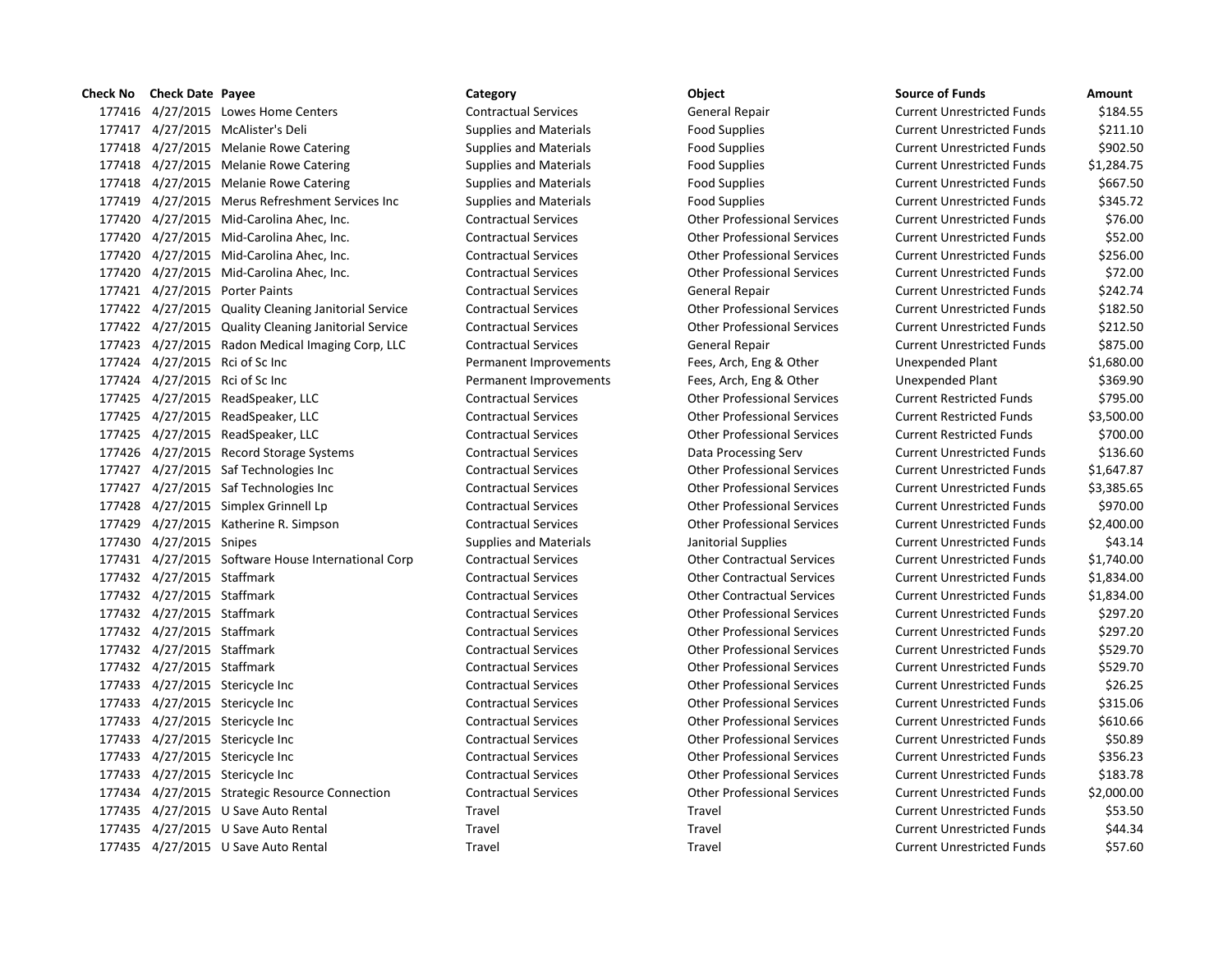# **Check No Check Date Payee Category Category Category Category Object** 177416 4/27/2015 Lowes Home Centers Contractual Services General Repair 177417 4/27/2015 McAlister's Deli Supplies and Materials Food Supplies Current Punch Intervent Unrestricted Fund 177418 4/27/2015 Melanie Rowe Catering Supplies and Materials Food Supplies Food Supplies 177418 4/27/2015 Melanie Rowe Catering Supplies and Materials Food Supplies Current Unrestricted Funds Analysis 177418 4/27/2015 Melanie Rowe Catering Supplies and Materials Food Supplies Food Supplies 177419 4/27/2015 Merus Refreshment Services Inc Supplies and Materials Food Supplies 177420 4/27/2015 Mid-Carolina Ahec, Inc. Contractual Services Other Professional Services 177420 4/27/2015 Mid-Carolina Ahec, Inc. Contractual Services Current Unrestricted Funds & Current Unrestricted Funds \$52.000 Mid-Carolina Ahec, Inc. 177420 4/27/2015 Mid-Carolina Ahec, Inc. Contractual Services Current Current Current Current Current Current Current Current Current Current Other Professional Services 177420 4/27/2015 Mid-Carolina Ahec, Inc. Contractual Services Other Professional Services 177421 4/27/2015 Porter Paints Contractual Services General Repair 177422 4/27/2015 Quality Cleaning Janitorial Service Contractual Services Contractual Services Current Professional Services 177422 4/27/2015 Quality Cleaning Janitorial Service Contractual Services Contractual Services Current Professional Services 177423 4/27/2015 Radon Medical Imaging Corp, LLC Contractual Services General Repair 177424 4/27/2015 Rci of Sc Inc **Permanent Improvements** Fees, Arch, Eng & Other Fees, Arch, Eng & Other 177424 4/27/2015 Rci of Sc Inc **Permanent Improvements** Fees, Arch, Eng & Other Fees, Arch, Eng & Other 177425 4/27/2015 ReadSpeaker, LLC Contractual Services Contractual Services Current Restrictes Current Restrictes 177425 4/27/2015 ReadSpeaker, LLC Contractual Services Other Professional Services Current Restricted Funds \$3,500.00 177425 4/27/2015 ReadSpeaker, LLC Contractual Services Other Professional Services Current Restricted Funds \$700.00 177426 4/27/2015 Record Storage Systems Contractual Services Data Processing Serv 177427 4/27/2015 Saf Technologies Inc Contractual Services Other Professional Services 177427 4/27/2015 Saf Technologies Inc Contractual Services Other Professional Services 177428 4/27/2015 Simplex Grinnell Lp Contractual Services Other Professional Services 177429 4/27/2015 Katherine R. Simpson Contractual Services Other Professional Services 177430 4/27/2015 Snipes Supplies Supplies and Materials Janitorial Supplies 177431 4/27/2015 Software House International Corp Contractual Services Contractual Services Current Unrestricted Funds & 1,77431 4/27/2015 Software House International Corp 177432 4/27/2015 Staffmark Contractual Services Other Contractual Services Current Unrestricted Funds & 1,834.000 177432 4/27/2015 Staffmark Contractual Services Contractual Services Current Current Unrestricted Funds & 1,834 177432 4/27/2015 Staffmark Contractual Services Contractual Services Current Professional Services 177432 4/27/2015 Staffmark Contractual Services Contractual Services Current Unrestricted Funds & 207.2015 Staffmark 177432 4/27/2015 Staffmark Contractual Services Contractual Services Current Other Professional Services 177432 4/27/2015 Staffmark Contractual Services Contractual Services Current Other Professional Services 177433 4/27/2015 Stericycle Inc Contractual Services Contractual Services Current Professional Services 177433 4/27/2015 Stericycle Inc Contractual Services Contractual Services Current Professional Services 177433 4/27/2015 Stericycle Inc Contractual Services Other Professional Services 177433 4/27/2015 Stericycle Inc Contractual Services Contractual Services Current Professional Services 177433 4/27/2015 Stericycle Inc Contractual Services Current Current Other Professional Services 177433 4/27/2015 Stericycle Inc Contractual Services Other Professional Services 177434 4/27/2015 Strategic Resource Connection Contractual Services Other Professional Services Current Unrestricted Funds \$2,000.00 177435 4/27/2015 U Save Auto Rental Travel Travel Travel Travel 177435 4/27/2015 U Save Auto Rental Travel Travel Travel Travel 177435 4/27/2015 U Save Auto Rental Travel Travel Travel Current University Pravel

| <b>Source of Funds</b>            | Amount     |
|-----------------------------------|------------|
| <b>Current Unrestricted Funds</b> | \$184.55   |
| <b>Current Unrestricted Funds</b> | \$211.10   |
| <b>Current Unrestricted Funds</b> | \$902.50   |
| <b>Current Unrestricted Funds</b> | \$1,284.75 |
| <b>Current Unrestricted Funds</b> | \$667.50   |
| <b>Current Unrestricted Funds</b> | \$345.72   |
| <b>Current Unrestricted Funds</b> | \$76.00    |
| <b>Current Unrestricted Funds</b> | \$52.00    |
| <b>Current Unrestricted Funds</b> | \$256.00   |
| <b>Current Unrestricted Funds</b> | \$72.00    |
| <b>Current Unrestricted Funds</b> | \$242.74   |
| <b>Current Unrestricted Funds</b> | \$182.50   |
| <b>Current Unrestricted Funds</b> | \$212.50   |
| <b>Current Unrestricted Funds</b> | \$875.00   |
| <b>Unexpended Plant</b>           | \$1,680.00 |
| <b>Unexpended Plant</b>           | \$369.90   |
| <b>Current Restricted Funds</b>   | \$795.00   |
| <b>Current Restricted Funds</b>   | \$3,500.00 |
| <b>Current Restricted Funds</b>   | \$700.00   |
| <b>Current Unrestricted Funds</b> | \$136.60   |
| <b>Current Unrestricted Funds</b> | \$1,647.87 |
| <b>Current Unrestricted Funds</b> | \$3,385.65 |
| <b>Current Unrestricted Funds</b> | \$970.00   |
| <b>Current Unrestricted Funds</b> | \$2,400.00 |
| <b>Current Unrestricted Funds</b> | \$43.14    |
| <b>Current Unrestricted Funds</b> | \$1,740.00 |
| <b>Current Unrestricted Funds</b> | \$1,834.00 |
| <b>Current Unrestricted Funds</b> | \$1,834.00 |
| <b>Current Unrestricted Funds</b> | \$297.20   |
| <b>Current Unrestricted Funds</b> | \$297.20   |
| <b>Current Unrestricted Funds</b> | \$529.70   |
| <b>Current Unrestricted Funds</b> | \$529.70   |
| <b>Current Unrestricted Funds</b> | \$26.25    |
| <b>Current Unrestricted Funds</b> | \$315.06   |
| <b>Current Unrestricted Funds</b> | \$610.66   |
| <b>Current Unrestricted Funds</b> | \$50.89    |
| <b>Current Unrestricted Funds</b> | \$356.23   |
| <b>Current Unrestricted Funds</b> | \$183.78   |
| <b>Current Unrestricted Funds</b> | \$2,000.00 |
| <b>Current Unrestricted Funds</b> | \$53.50    |
| <b>Current Unrestricted Funds</b> | \$44.34    |
| <b>Current Unrestricted Funds</b> | \$57.60    |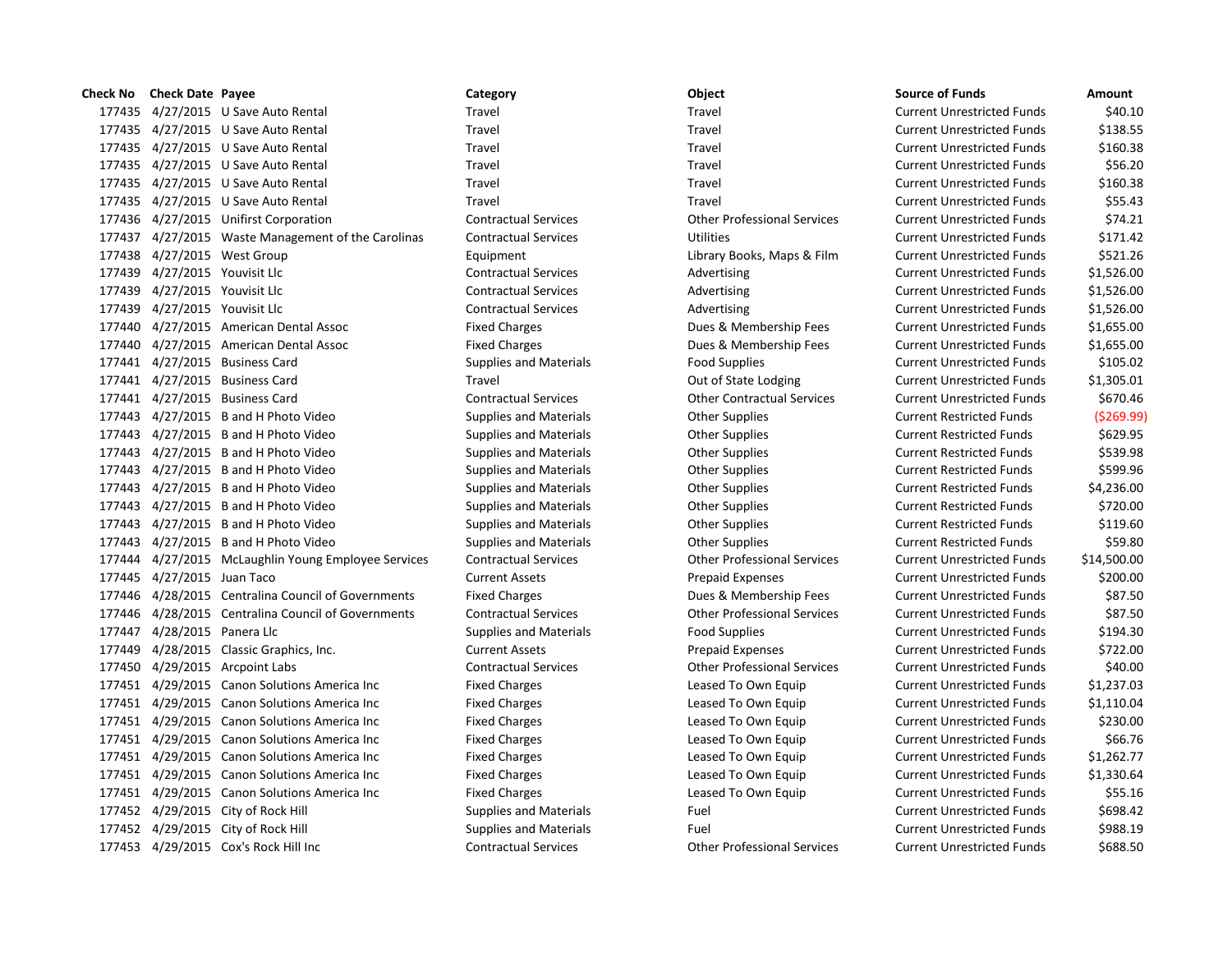| Check No | <b>Check Date Payee</b>     |                                                     | Category                      | Object                             | <b>Source of Funds</b>            | Amount      |
|----------|-----------------------------|-----------------------------------------------------|-------------------------------|------------------------------------|-----------------------------------|-------------|
|          |                             | 177435 4/27/2015 U Save Auto Rental                 | Travel                        | Travel                             | <b>Current Unrestricted Funds</b> | \$40.10     |
|          |                             | 177435 4/27/2015 U Save Auto Rental                 | Travel                        | Travel                             | <b>Current Unrestricted Funds</b> | \$138.55    |
|          |                             | 177435 4/27/2015 U Save Auto Rental                 | Travel                        | Travel                             | <b>Current Unrestricted Funds</b> | \$160.38    |
|          |                             | 177435 4/27/2015 U Save Auto Rental                 | Travel                        | Travel                             | <b>Current Unrestricted Funds</b> | \$56.20     |
|          |                             | 177435 4/27/2015 U Save Auto Rental                 | Travel                        | Travel                             | <b>Current Unrestricted Funds</b> | \$160.38    |
|          |                             | 177435 4/27/2015 U Save Auto Rental                 | Travel                        | Travel                             | <b>Current Unrestricted Funds</b> | \$55.43     |
|          |                             | 177436 4/27/2015 Unifirst Corporation               | <b>Contractual Services</b>   | <b>Other Professional Services</b> | <b>Current Unrestricted Funds</b> | \$74.21     |
|          |                             | 177437 4/27/2015 Waste Management of the Carolinas  | <b>Contractual Services</b>   | Utilities                          | <b>Current Unrestricted Funds</b> | \$171.42    |
|          |                             | 177438 4/27/2015 West Group                         | Equipment                     | Library Books, Maps & Film         | <b>Current Unrestricted Funds</b> | \$521.26    |
| 177439   | 4/27/2015 Youvisit Llc      |                                                     | <b>Contractual Services</b>   | Advertising                        | <b>Current Unrestricted Funds</b> | \$1,526.00  |
| 177439   | 4/27/2015 Youvisit Llc      |                                                     | <b>Contractual Services</b>   | Advertising                        | <b>Current Unrestricted Funds</b> | \$1,526.00  |
| 177439   | 4/27/2015 Youvisit Llc      |                                                     | <b>Contractual Services</b>   | Advertising                        | <b>Current Unrestricted Funds</b> | \$1,526.00  |
|          |                             | 177440 4/27/2015 American Dental Assoc              | <b>Fixed Charges</b>          | Dues & Membership Fees             | <b>Current Unrestricted Funds</b> | \$1,655.00  |
| 177440   |                             | 4/27/2015 American Dental Assoc                     | <b>Fixed Charges</b>          | Dues & Membership Fees             | <b>Current Unrestricted Funds</b> | \$1,655.00  |
|          |                             | 177441 4/27/2015 Business Card                      | <b>Supplies and Materials</b> | <b>Food Supplies</b>               | <b>Current Unrestricted Funds</b> | \$105.02    |
|          |                             | 177441 4/27/2015 Business Card                      | Travel                        | Out of State Lodging               | <b>Current Unrestricted Funds</b> | \$1,305.01  |
|          |                             | 177441 4/27/2015 Business Card                      | <b>Contractual Services</b>   | <b>Other Contractual Services</b>  | <b>Current Unrestricted Funds</b> | \$670.46    |
|          |                             | 177443 4/27/2015 B and H Photo Video                | <b>Supplies and Materials</b> | <b>Other Supplies</b>              | <b>Current Restricted Funds</b>   | (5269.99    |
|          |                             | 177443 4/27/2015 B and H Photo Video                | <b>Supplies and Materials</b> | <b>Other Supplies</b>              | <b>Current Restricted Funds</b>   | \$629.95    |
|          |                             | 177443 4/27/2015 B and H Photo Video                | <b>Supplies and Materials</b> | <b>Other Supplies</b>              | <b>Current Restricted Funds</b>   | \$539.98    |
|          |                             | 177443 4/27/2015 B and H Photo Video                | <b>Supplies and Materials</b> | <b>Other Supplies</b>              | <b>Current Restricted Funds</b>   | \$599.96    |
|          |                             | 177443 4/27/2015 B and H Photo Video                | <b>Supplies and Materials</b> | <b>Other Supplies</b>              | <b>Current Restricted Funds</b>   | \$4,236.00  |
|          |                             | 177443 4/27/2015 B and H Photo Video                | <b>Supplies and Materials</b> | <b>Other Supplies</b>              | <b>Current Restricted Funds</b>   | \$720.00    |
|          |                             | 177443 4/27/2015 B and H Photo Video                | <b>Supplies and Materials</b> | <b>Other Supplies</b>              | <b>Current Restricted Funds</b>   | \$119.60    |
|          |                             | 177443 4/27/2015 B and H Photo Video                | <b>Supplies and Materials</b> | <b>Other Supplies</b>              | <b>Current Restricted Funds</b>   | \$59.80     |
|          |                             | 177444 4/27/2015 McLaughlin Young Employee Services | <b>Contractual Services</b>   | <b>Other Professional Services</b> | <b>Current Unrestricted Funds</b> | \$14,500.00 |
|          | 177445 4/27/2015 Juan Taco  |                                                     | <b>Current Assets</b>         | <b>Prepaid Expenses</b>            | <b>Current Unrestricted Funds</b> | \$200.00    |
| 177446   |                             | 4/28/2015 Centralina Council of Governments         | <b>Fixed Charges</b>          | Dues & Membership Fees             | <b>Current Unrestricted Funds</b> | \$87.50     |
| 177446   |                             | 4/28/2015 Centralina Council of Governments         | <b>Contractual Services</b>   | <b>Other Professional Services</b> | <b>Current Unrestricted Funds</b> | \$87.50     |
|          | 177447 4/28/2015 Panera Llc |                                                     | <b>Supplies and Materials</b> | <b>Food Supplies</b>               | <b>Current Unrestricted Funds</b> | \$194.30    |
| 177449   |                             | 4/28/2015 Classic Graphics, Inc.                    | <b>Current Assets</b>         | <b>Prepaid Expenses</b>            | <b>Current Unrestricted Funds</b> | \$722.00    |
|          |                             | 177450 4/29/2015 Arcpoint Labs                      | <b>Contractual Services</b>   | <b>Other Professional Services</b> | <b>Current Unrestricted Funds</b> | \$40.00     |
|          |                             | 177451 4/29/2015 Canon Solutions America Inc        | <b>Fixed Charges</b>          | Leased To Own Equip                | <b>Current Unrestricted Funds</b> | \$1,237.03  |
|          |                             | 177451 4/29/2015 Canon Solutions America Inc        | <b>Fixed Charges</b>          | Leased To Own Equip                | <b>Current Unrestricted Funds</b> | \$1,110.04  |
|          |                             | 177451 4/29/2015 Canon Solutions America Inc        | <b>Fixed Charges</b>          | Leased To Own Equip                | <b>Current Unrestricted Funds</b> | \$230.00    |
|          |                             | 177451 4/29/2015 Canon Solutions America Inc        | <b>Fixed Charges</b>          | Leased To Own Equip                | <b>Current Unrestricted Funds</b> | \$66.76     |
|          |                             | 177451 4/29/2015 Canon Solutions America Inc        | <b>Fixed Charges</b>          | Leased To Own Equip                | <b>Current Unrestricted Funds</b> | \$1,262.77  |
|          |                             | 177451 4/29/2015 Canon Solutions America Inc        | <b>Fixed Charges</b>          | Leased To Own Equip                | <b>Current Unrestricted Funds</b> | \$1,330.64  |
|          |                             | 177451 4/29/2015 Canon Solutions America Inc        | <b>Fixed Charges</b>          | Leased To Own Equip                | <b>Current Unrestricted Funds</b> | \$55.16     |
|          |                             | 177452 4/29/2015 City of Rock Hill                  | <b>Supplies and Materials</b> | Fuel                               | <b>Current Unrestricted Funds</b> | \$698.42    |
|          |                             | 177452 4/29/2015 City of Rock Hill                  | <b>Supplies and Materials</b> | Fuel                               | <b>Current Unrestricted Funds</b> | \$988.19    |
|          |                             | 177453 4/29/2015 Cox's Rock Hill Inc                | <b>Contractual Services</b>   | <b>Other Professional Services</b> | <b>Current Unrestricted Funds</b> | \$688.50    |

| Object                             |
|------------------------------------|
| Travel                             |
| Travel                             |
| Travel                             |
| Travel                             |
| Travel                             |
| Travel                             |
| <b>Other Professional Services</b> |
| Utilities                          |
| Library Books, Maps & Film         |
| Advertising                        |
| Advertising                        |
| Advertising                        |
| Dues & Membership Fees             |
| Dues & Membership Fees             |
| <b>Food Supplies</b>               |
| Out of State Lodging               |
| <b>Other Contractual Services</b>  |
| <b>Other Supplies</b>              |
| <b>Other Supplies</b>              |
| <b>Other Supplies</b>              |
| <b>Other Supplies</b>              |
| <b>Other Supplies</b>              |
| <b>Other Supplies</b>              |
| <b>Other Supplies</b>              |
| <b>Other Supplies</b>              |
| <b>Other Professional Services</b> |
| <b>Prepaid Expenses</b>            |
| Dues & Membership Fees             |
| <b>Other Professional Services</b> |
| <b>Food Supplies</b>               |
| <b>Prepaid Expenses</b>            |
| <b>Other Professional Services</b> |
| Leased To Own Equip                |
| Leased To Own Equip                |
| Leased To Own Equip                |
| Leased To Own Equip                |
| Leased To Own Equip                |
| Leased To Own Equip                |
| Leased To Own Equip                |
| Fuel                               |
| Fuel                               |
| Other Professional Services        |

| Source of Funds                   | Amount<br>\$40.10    |
|-----------------------------------|----------------------|
| <b>Current Unrestricted Funds</b> |                      |
| Current Unrestricted Funds        | \$138.55<br>\$160.38 |
| Current Unrestricted Funds        |                      |
| <b>Current Unrestricted Funds</b> | \$56.20              |
| <b>Current Unrestricted Funds</b> | \$160.38             |
| Current Unrestricted Funds        | \$55.43              |
| Current Unrestricted Funds        | \$74.21              |
| Current Unrestricted Funds        | \$171.42             |
| Current Unrestricted Funds        | \$521.26             |
| Current Unrestricted Funds        | \$1,526.00           |
| Current Unrestricted Funds        | \$1,526.00           |
| Current Unrestricted Funds        | \$1,526.00           |
| Current Unrestricted Funds        | \$1,655.00           |
| Current Unrestricted Funds        | \$1,655.00           |
| Current Unrestricted Funds        | \$105.02             |
| Current Unrestricted Funds        | \$1,305.01           |
| <b>Current Unrestricted Funds</b> | \$670.46             |
| Current Restricted Funds          | (\$269.99            |
| <b>Current Restricted Funds</b>   | \$629.95             |
| <b>Current Restricted Funds</b>   | \$539.98             |
| <b>Current Restricted Funds</b>   | \$599.96             |
| Current Restricted Funds          | \$4,236.00           |
| Current Restricted Funds          | \$720.00             |
| <b>Current Restricted Funds</b>   | \$119.60             |
| <b>Current Restricted Funds</b>   | \$59.80              |
| Current Unrestricted Funds        | \$14,500.00          |
| Current Unrestricted Funds        | \$200.00             |
| <b>Current Unrestricted Funds</b> | \$87.50              |
| Current Unrestricted Funds        | \$87.50              |
| <b>Current Unrestricted Funds</b> | \$194.30             |
| Current Unrestricted Funds        | \$722.00             |
| Current Unrestricted Funds        | \$40.00              |
| <b>Current Unrestricted Funds</b> | \$1,237.03           |
| <b>Current Unrestricted Funds</b> | \$1,110.04           |
| Current Unrestricted Funds        | \$230.00             |
| <b>Current Unrestricted Funds</b> | \$66.76              |
| <b>Current Unrestricted Funds</b> | \$1,262.77           |
| Current Unrestricted Funds        | \$1,330.64           |
| <b>Current Unrestricted Funds</b> | \$55.16              |
| <b>Current Unrestricted Funds</b> | \$698.42             |
| Current Unrestricted Funds        | \$988.19             |
| Curront Unroctrictod Eunde        | CCOO EN              |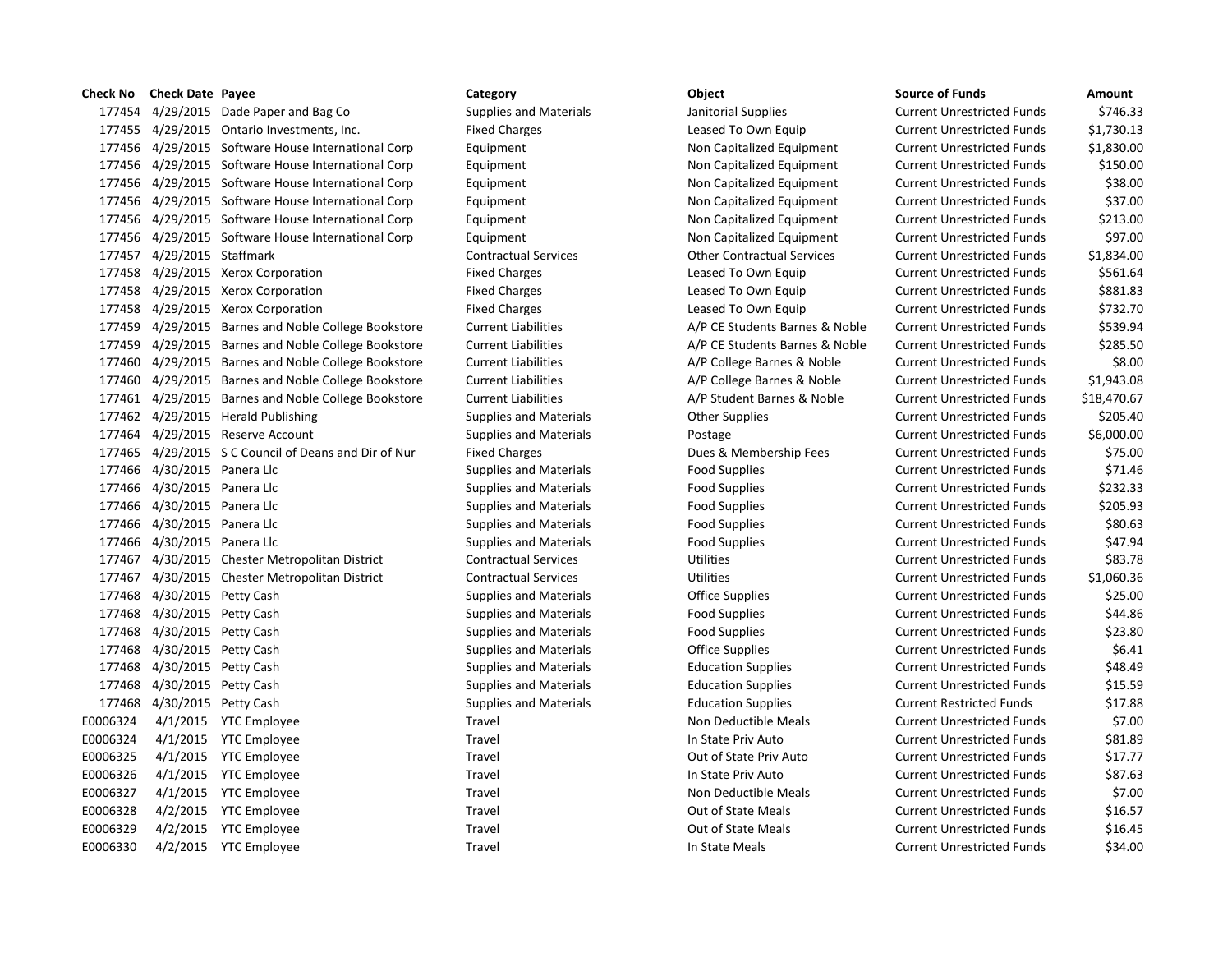# 177454 4/29/2015 Dade Paper and Bag Co Supplies and Materials Janitorial Supplies Current Unrestricted Funds \$746.33 177455 4/29/2015 Ontario Investments, Inc. Fixed Charges Leased To Own Equip Current Unrestricted Funds \$1,730.13 177456 4/29/2015 Software House International Corp Equipment Non Capitalized Equipment Current Unrestricted Funds \$1,830.00 177456 4/29/2015 Software House International Corp Equipment Non Capitalized Equipment Current Unrestricted Funds \$150.00 177456 4/29/2015 Software House International Corp Equipment Non Capitalized Equipment Current Unrestricted Funds \$38.00 177456 4/29/2015 Software House International Corp Equipment Non Capitalized Equipment Current Unrestricted Funds \$37.00 177456 4/29/2015 Software House International Corp Equipment Non Capitalized Equipment Current Unrestricted Funds \$213.00 177456 4/29/2015 Software House International Corp Equipment Non Capitalized Equipment Current Unrestricted Funds \$97.00 177457 4/29/2015 Staffmark Contractual Services Other Contractual Services Current Unrestricted Funds \$1,834.00 177458 4/29/2015 Xerox Corporation **Fixed Charges** Exercise Leased To Own Equip Current Unrestricted Funds \$561.64 177458 4/29/2015 Xerox Corporation The Fixed Charges Leased To Own Equip Current Unrestricted Funds \$881.83 177458 4/29/2015 Xerox Corporation The Fixed Charges Leased To Own Equip Current Unrestricted Funds \$732.70 177459 4/29/2015 Barnes and Noble College Bookstore Current Liabilities A/P CE Students Barnes & Noble Current Unrestricted Funds \$539.94 177459 4/29/2015 Barnes and Noble College Bookstore Current Liabilities A/P CE Students Barnes & Noble Current Unrestricted Funds \$285.50 177460 4/29/2015 Barnes and Noble College Bookstore Current Liabilities A/P College Barnes & Noble Current Unrestricted Funds \$8.00 177460 4/29/2015 Barnes and Noble College Bookstore Current Liabilities A/P College Barnes & Noble Current Unrestricted Funds \$1,943.08 177461 4/29/2015 Barnes and Noble College Bookstore Current Liabilities A/P Student Barnes & Noble Current Unrestricted Funds \$18,470.67 177462 4/29/2015 Herald Publishing Supplies and Materials Other Supplies Current Unrestricted Funds \$205.40 177464 4/29/2015 Reserve Account Supplies and Materials Postage Current Unrestricted Funds \$6,000.00 177465 4/29/2015 S C Council of Deans and Dir of Nur Fixed Charges Dues & Membership Fees Current Unrestricted Funds \$75.00 177466 4/30/2015 Panera Llc Supplies and Materials Food Supplies Food Supplies Current Unrestricted Funds \$71.46 177466 4/30/2015 Panera Llc Supplies and Materials Food Supplies Food Supplies Current Unrestricted Funds \$232.33 177466 4/30/2015 Panera Llc Supplies and Materials Food Supplies Food Supplies Current Unrestricted Funds \$205.93 177466 4/30/2015 Panera Llc Supplies and Materials Food Supplies Food Supplies Current Unrestricted Funds \$80.63 177466 4/30/2015 Panera Llc Supplies and Materials Food Supplies Current Unrestricted Funds \$47.94 177467 4/30/2015 Chester Metropolitan District Contractual Services Utilities Current Unrestricted Funds \$83.78 177467 4/30/2015 Chester Metropolitan District Contractual Services Utilities Current Unrestricted Funds \$1,060.36 177468 4/30/2015 Petty Cash Supplies and Materials Office Supplies Current Unrestricted Funds \$25.00 177468 4/30/2015 Petty Cash Supplies and Materials Food Supplies Food Supplies Current Unrestricted Funds \$44.86 177468 4/30/2015 Petty Cash Supplies and Materials Food Supplies Food Supplies Current Unrestricted Funds \$23.80 177468 4/30/2015 Petty Cash Supplies and Materials Office Supplies Current Unrestricted Funds \$6.41 177468 4/30/2015 Petty Cash Supplies and Materials Education Supplies Current Unrestricted Funds \$48.49 177468 4/30/2015 Petty Cash Supplies and Materials Education Supplies Current Unrestricted Funds \$15.59 177468 4/30/2015 Petty Cash Supplies and Materials Education Supplies Current Restricted Funds \$17.88 E0006324 4/1/2015 YTC Employee Travel Travel Travel Non Deductible Meals Current Unrestricted Funds \$7.00 E0006324 4/1/2015 YTC Employee Travel Travel Travel In State Priv Auto Current Unrestricted Funds \$81.89 E0006325 4/1/2015 YTC Employee Travel Travel Travel Out of State Priv Auto Current Unrestricted Funds \$17.77 E0006326 4/1/2015 YTC Employee Travel Travel Travel In State Priv Auto Current Unrestricted Funds \$87.63 E0006327 4/1/2015 YTC Employee Travel Travel Travel Non Deductible Meals Current Unrestricted Funds \$7.00 E0006328 4/2/2015 YTC Employee Travel Travel Travel Out of State Meals Current Unrestricted Funds \$16.57 E0006329 4/2/2015 YTC Employee Travel Travel Travel Out of State Meals Current Unrestricted Funds \$16.45 E0006330 4/2/2015 YTC Employee Travel Travel Travel In State Meals Current Unrestricted Funds \$34.00

**Check No Check Date Payee Category Object Source of Funds Amount**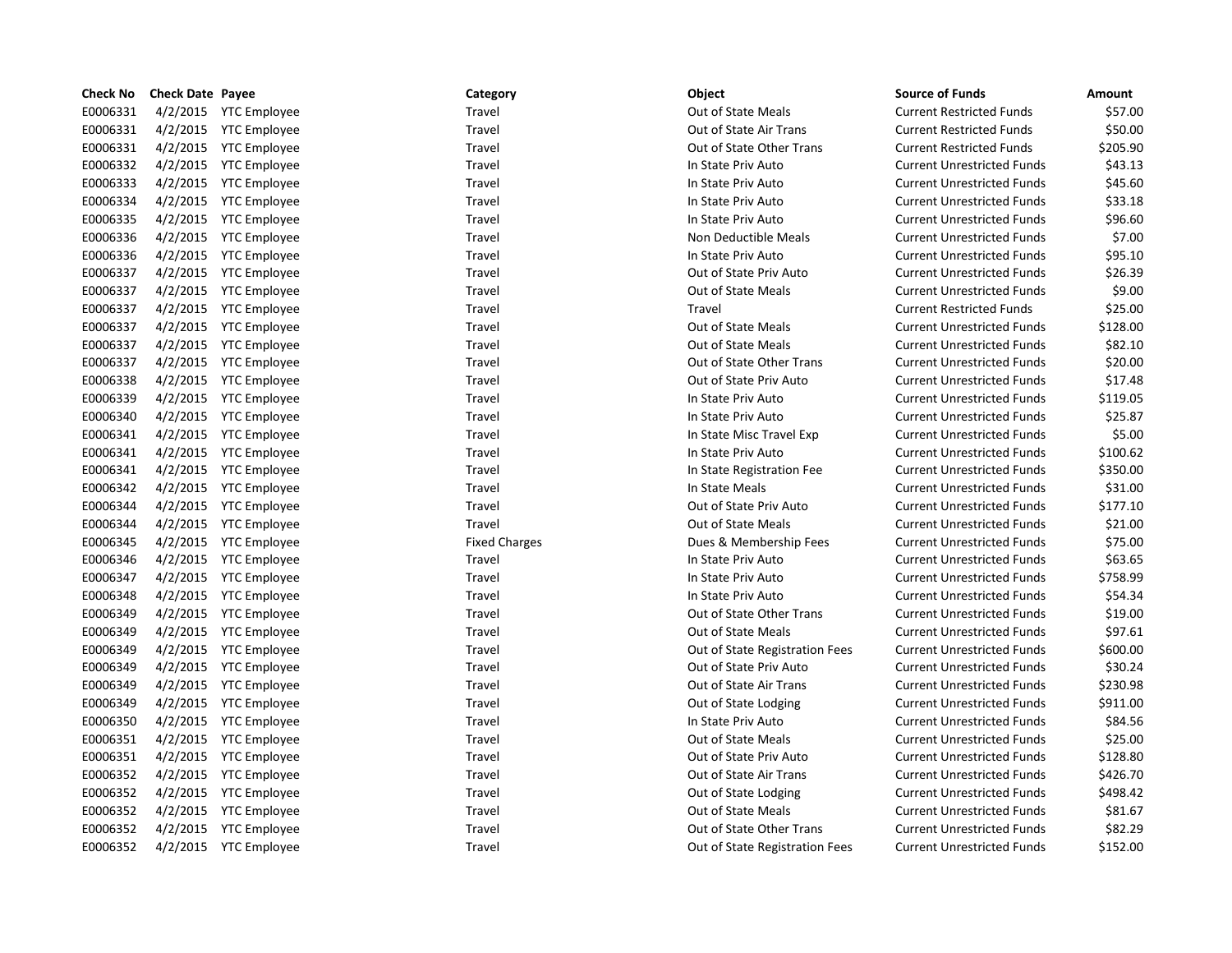| <b>Check No</b> | <b>Check Date Payee</b> |                       | Category             | Object                         | <b>Source of Funds</b>            | Amount   |
|-----------------|-------------------------|-----------------------|----------------------|--------------------------------|-----------------------------------|----------|
| E0006331        |                         | 4/2/2015 YTC Employee | Travel               | <b>Out of State Meals</b>      | <b>Current Restricted Funds</b>   | \$57.00  |
| E0006331        |                         | 4/2/2015 YTC Employee | Travel               | Out of State Air Trans         | <b>Current Restricted Funds</b>   | \$50.00  |
| E0006331        |                         | 4/2/2015 YTC Employee | Travel               | Out of State Other Trans       | <b>Current Restricted Funds</b>   | \$205.90 |
| E0006332        |                         | 4/2/2015 YTC Employee | Travel               | In State Priv Auto             | <b>Current Unrestricted Funds</b> | \$43.13  |
| E0006333        |                         | 4/2/2015 YTC Employee | Travel               | In State Priv Auto             | <b>Current Unrestricted Funds</b> | \$45.60  |
| E0006334        |                         | 4/2/2015 YTC Employee | Travel               | In State Priv Auto             | <b>Current Unrestricted Funds</b> | \$33.18  |
| E0006335        |                         | 4/2/2015 YTC Employee | Travel               | In State Priv Auto             | <b>Current Unrestricted Funds</b> | \$96.60  |
| E0006336        |                         | 4/2/2015 YTC Employee | Travel               | Non Deductible Meals           | <b>Current Unrestricted Funds</b> | \$7.00   |
| E0006336        |                         | 4/2/2015 YTC Employee | Travel               | In State Priv Auto             | <b>Current Unrestricted Funds</b> | \$95.10  |
| E0006337        |                         | 4/2/2015 YTC Employee | Travel               | Out of State Priv Auto         | <b>Current Unrestricted Funds</b> | \$26.39  |
| E0006337        |                         | 4/2/2015 YTC Employee | Travel               | Out of State Meals             | <b>Current Unrestricted Funds</b> | \$9.00   |
| E0006337        |                         | 4/2/2015 YTC Employee | Travel               | Travel                         | <b>Current Restricted Funds</b>   | \$25.00  |
| E0006337        |                         | 4/2/2015 YTC Employee | Travel               | Out of State Meals             | <b>Current Unrestricted Funds</b> | \$128.00 |
| E0006337        |                         | 4/2/2015 YTC Employee | Travel               | Out of State Meals             | <b>Current Unrestricted Funds</b> | \$82.10  |
| E0006337        |                         | 4/2/2015 YTC Employee | Travel               | Out of State Other Trans       | <b>Current Unrestricted Funds</b> | \$20.00  |
| E0006338        |                         | 4/2/2015 YTC Employee | Travel               | Out of State Priv Auto         | <b>Current Unrestricted Funds</b> | \$17.48  |
| E0006339        |                         | 4/2/2015 YTC Employee | Travel               | In State Priv Auto             | <b>Current Unrestricted Funds</b> | \$119.05 |
| E0006340        |                         | 4/2/2015 YTC Employee | Travel               | In State Priv Auto             | <b>Current Unrestricted Funds</b> | \$25.87  |
| E0006341        |                         | 4/2/2015 YTC Employee | Travel               | In State Misc Travel Exp       | <b>Current Unrestricted Funds</b> | \$5.00   |
| E0006341        |                         | 4/2/2015 YTC Employee | Travel               | In State Priv Auto             | <b>Current Unrestricted Funds</b> | \$100.62 |
| E0006341        |                         | 4/2/2015 YTC Employee | Travel               | In State Registration Fee      | <b>Current Unrestricted Funds</b> | \$350.00 |
| E0006342        |                         | 4/2/2015 YTC Employee | Travel               | In State Meals                 | <b>Current Unrestricted Funds</b> | \$31.00  |
| E0006344        |                         | 4/2/2015 YTC Employee | Travel               | Out of State Priv Auto         | <b>Current Unrestricted Funds</b> | \$177.10 |
| E0006344        |                         | 4/2/2015 YTC Employee | Travel               | <b>Out of State Meals</b>      | <b>Current Unrestricted Funds</b> | \$21.00  |
| E0006345        |                         | 4/2/2015 YTC Employee | <b>Fixed Charges</b> | Dues & Membership Fees         | <b>Current Unrestricted Funds</b> | \$75.00  |
| E0006346        |                         | 4/2/2015 YTC Employee | Travel               | In State Priv Auto             | <b>Current Unrestricted Funds</b> | \$63.65  |
| E0006347        |                         | 4/2/2015 YTC Employee | Travel               | In State Priv Auto             | <b>Current Unrestricted Funds</b> | \$758.99 |
| E0006348        |                         | 4/2/2015 YTC Employee | Travel               | In State Priv Auto             | <b>Current Unrestricted Funds</b> | \$54.34  |
| E0006349        |                         | 4/2/2015 YTC Employee | Travel               | Out of State Other Trans       | <b>Current Unrestricted Funds</b> | \$19.00  |
| E0006349        |                         | 4/2/2015 YTC Employee | Travel               | <b>Out of State Meals</b>      | <b>Current Unrestricted Funds</b> | \$97.61  |
| E0006349        |                         | 4/2/2015 YTC Employee | Travel               | Out of State Registration Fees | <b>Current Unrestricted Funds</b> | \$600.00 |
| E0006349        |                         | 4/2/2015 YTC Employee | Travel               | Out of State Priv Auto         | <b>Current Unrestricted Funds</b> | \$30.24  |
| E0006349        |                         | 4/2/2015 YTC Employee | Travel               | Out of State Air Trans         | <b>Current Unrestricted Funds</b> | \$230.98 |
| E0006349        |                         | 4/2/2015 YTC Employee | Travel               | Out of State Lodging           | <b>Current Unrestricted Funds</b> | \$911.00 |
| E0006350        |                         | 4/2/2015 YTC Employee | Travel               | In State Priv Auto             | <b>Current Unrestricted Funds</b> | \$84.56  |
| E0006351        |                         | 4/2/2015 YTC Employee | Travel               | <b>Out of State Meals</b>      | <b>Current Unrestricted Funds</b> | \$25.00  |
| E0006351        |                         | 4/2/2015 YTC Employee | Travel               | Out of State Priv Auto         | <b>Current Unrestricted Funds</b> | \$128.80 |
| E0006352        |                         | 4/2/2015 YTC Employee | Travel               | Out of State Air Trans         | <b>Current Unrestricted Funds</b> | \$426.70 |
| E0006352        |                         | 4/2/2015 YTC Employee | Travel               | Out of State Lodging           | <b>Current Unrestricted Funds</b> | \$498.42 |
| E0006352        |                         | 4/2/2015 YTC Employee | Travel               | Out of State Meals             | <b>Current Unrestricted Funds</b> | \$81.67  |
| E0006352        |                         | 4/2/2015 YTC Employee | Travel               | Out of State Other Trans       | <b>Current Unrestricted Funds</b> | \$82.29  |
| E0006352        |                         | 4/2/2015 YTC Employee | Travel               | Out of State Registration Fees | <b>Current Unrestricted Funds</b> | \$152.00 |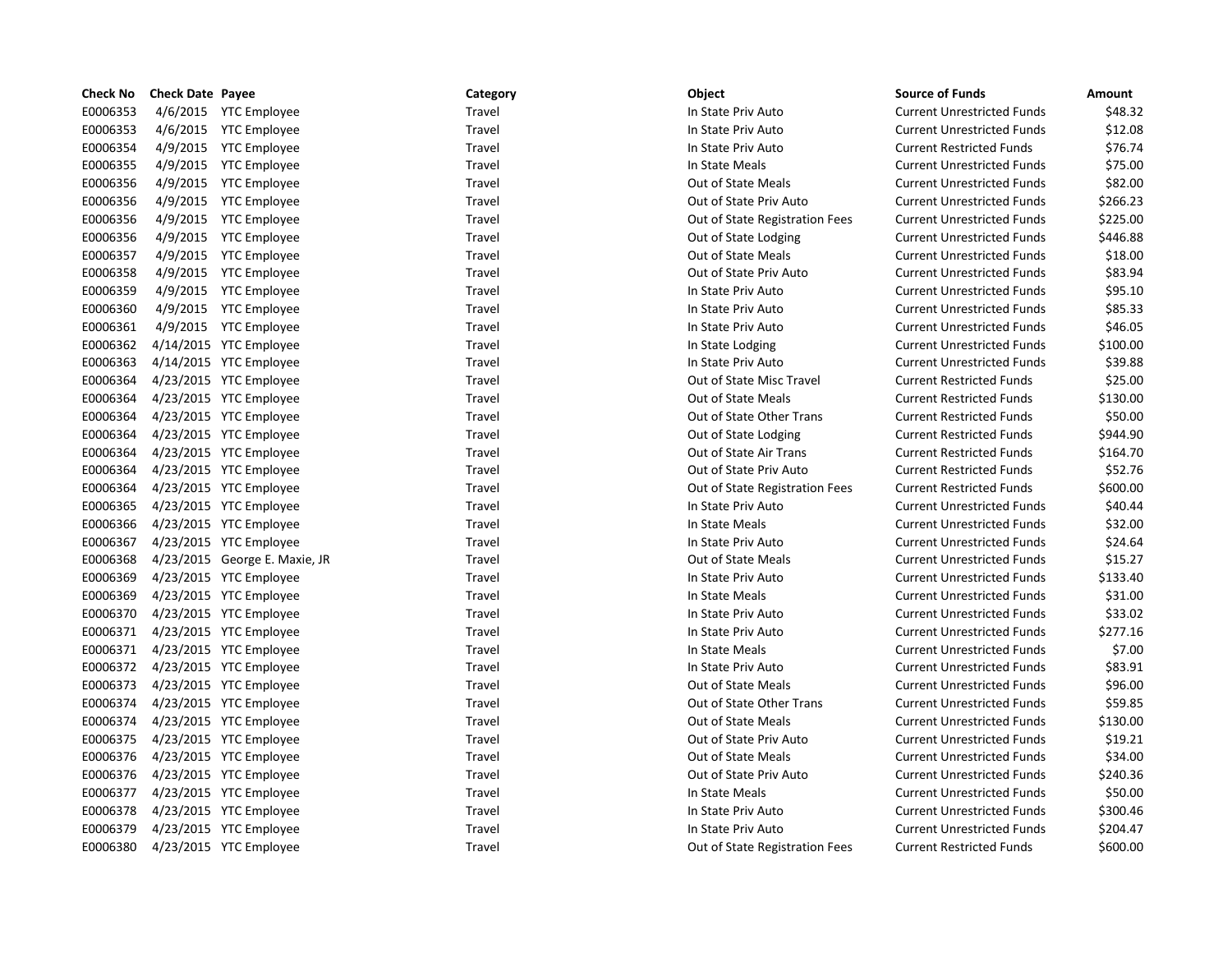| <b>Check No</b> | <b>Check Date Payee</b> |                               | Category | <b>Object</b>                  | <b>Source of Funds</b>            | Amount   |
|-----------------|-------------------------|-------------------------------|----------|--------------------------------|-----------------------------------|----------|
| E0006353        |                         | 4/6/2015 YTC Employee         | Travel   | In State Priv Auto             | <b>Current Unrestricted Funds</b> | \$48.32  |
| E0006353        |                         | 4/6/2015 YTC Employee         | Travel   | In State Priv Auto             | <b>Current Unrestricted Funds</b> | \$12.08  |
| E0006354        |                         | 4/9/2015 YTC Employee         | Travel   | In State Priv Auto             | <b>Current Restricted Funds</b>   | \$76.74  |
| E0006355        |                         | 4/9/2015 YTC Employee         | Travel   | In State Meals                 | <b>Current Unrestricted Funds</b> | \$75.00  |
| E0006356        |                         | 4/9/2015 YTC Employee         | Travel   | <b>Out of State Meals</b>      | <b>Current Unrestricted Funds</b> | \$82.00  |
| E0006356        |                         | 4/9/2015 YTC Employee         | Travel   | Out of State Priv Auto         | <b>Current Unrestricted Funds</b> | \$266.23 |
| E0006356        |                         | 4/9/2015 YTC Employee         | Travel   | Out of State Registration Fees | <b>Current Unrestricted Funds</b> | \$225.00 |
| E0006356        |                         | 4/9/2015 YTC Employee         | Travel   | Out of State Lodging           | <b>Current Unrestricted Funds</b> | \$446.88 |
| E0006357        |                         | 4/9/2015 YTC Employee         | Travel   | Out of State Meals             | <b>Current Unrestricted Funds</b> | \$18.00  |
| E0006358        |                         | 4/9/2015 YTC Employee         | Travel   | Out of State Priv Auto         | <b>Current Unrestricted Funds</b> | \$83.94  |
| E0006359        |                         | 4/9/2015 YTC Employee         | Travel   | In State Priv Auto             | <b>Current Unrestricted Funds</b> | \$95.10  |
| E0006360        |                         | 4/9/2015 YTC Employee         | Travel   | In State Priv Auto             | <b>Current Unrestricted Funds</b> | \$85.33  |
| E0006361        |                         | 4/9/2015 YTC Employee         | Travel   | In State Priv Auto             | <b>Current Unrestricted Funds</b> | \$46.05  |
| E0006362        |                         | 4/14/2015 YTC Employee        | Travel   | In State Lodging               | <b>Current Unrestricted Funds</b> | \$100.00 |
| E0006363        |                         | 4/14/2015 YTC Employee        | Travel   | In State Priv Auto             | <b>Current Unrestricted Funds</b> | \$39.88  |
| E0006364        |                         | 4/23/2015 YTC Employee        | Travel   | Out of State Misc Travel       | <b>Current Restricted Funds</b>   | \$25.00  |
| E0006364        |                         | 4/23/2015 YTC Employee        | Travel   | Out of State Meals             | <b>Current Restricted Funds</b>   | \$130.00 |
| E0006364        |                         | 4/23/2015 YTC Employee        | Travel   | Out of State Other Trans       | <b>Current Restricted Funds</b>   | \$50.00  |
| E0006364        |                         | 4/23/2015 YTC Employee        | Travel   | Out of State Lodging           | <b>Current Restricted Funds</b>   | \$944.90 |
| E0006364        |                         | 4/23/2015 YTC Employee        | Travel   | Out of State Air Trans         | <b>Current Restricted Funds</b>   | \$164.70 |
| E0006364        |                         | 4/23/2015 YTC Employee        | Travel   | Out of State Priv Auto         | <b>Current Restricted Funds</b>   | \$52.76  |
| E0006364        |                         | 4/23/2015 YTC Employee        | Travel   | Out of State Registration Fees | <b>Current Restricted Funds</b>   | \$600.00 |
| E0006365        |                         | 4/23/2015 YTC Employee        | Travel   | In State Priv Auto             | <b>Current Unrestricted Funds</b> | \$40.44  |
| E0006366        |                         | 4/23/2015 YTC Employee        | Travel   | In State Meals                 | <b>Current Unrestricted Funds</b> | \$32.00  |
| E0006367        |                         | 4/23/2015 YTC Employee        | Travel   | In State Priv Auto             | <b>Current Unrestricted Funds</b> | \$24.64  |
| E0006368        |                         | 4/23/2015 George E. Maxie, JR | Travel   | <b>Out of State Meals</b>      | <b>Current Unrestricted Funds</b> | \$15.27  |
| E0006369        |                         | 4/23/2015 YTC Employee        | Travel   | In State Priv Auto             | <b>Current Unrestricted Funds</b> | \$133.40 |
| E0006369        |                         | 4/23/2015 YTC Employee        | Travel   | In State Meals                 | <b>Current Unrestricted Funds</b> | \$31.00  |
| E0006370        |                         | 4/23/2015 YTC Employee        | Travel   | In State Priv Auto             | <b>Current Unrestricted Funds</b> | \$33.02  |
| E0006371        |                         | 4/23/2015 YTC Employee        | Travel   | In State Priv Auto             | <b>Current Unrestricted Funds</b> | \$277.16 |
| E0006371        |                         | 4/23/2015 YTC Employee        | Travel   | In State Meals                 | <b>Current Unrestricted Funds</b> | \$7.00   |
| E0006372        |                         | 4/23/2015 YTC Employee        | Travel   | In State Priv Auto             | <b>Current Unrestricted Funds</b> | \$83.91  |
| E0006373        |                         | 4/23/2015 YTC Employee        | Travel   | Out of State Meals             | <b>Current Unrestricted Funds</b> | \$96.00  |
| E0006374        |                         | 4/23/2015 YTC Employee        | Travel   | Out of State Other Trans       | <b>Current Unrestricted Funds</b> | \$59.85  |
| E0006374        |                         | 4/23/2015 YTC Employee        | Travel   | Out of State Meals             | <b>Current Unrestricted Funds</b> | \$130.00 |
| E0006375        |                         | 4/23/2015 YTC Employee        | Travel   | Out of State Priv Auto         | <b>Current Unrestricted Funds</b> | \$19.21  |
| E0006376        |                         | 4/23/2015 YTC Employee        | Travel   | Out of State Meals             | <b>Current Unrestricted Funds</b> | \$34.00  |
| E0006376        |                         | 4/23/2015 YTC Employee        | Travel   | Out of State Priv Auto         | <b>Current Unrestricted Funds</b> | \$240.36 |
| E0006377        |                         | 4/23/2015 YTC Employee        | Travel   | In State Meals                 | <b>Current Unrestricted Funds</b> | \$50.00  |
| E0006378        |                         | 4/23/2015 YTC Employee        | Travel   | In State Priv Auto             | <b>Current Unrestricted Funds</b> | \$300.46 |
| E0006379        |                         | 4/23/2015 YTC Employee        | Travel   | In State Priv Auto             | <b>Current Unrestricted Funds</b> | \$204.47 |
| E0006380        |                         | 4/23/2015 YTC Employee        | Travel   | Out of State Registration Fees | <b>Current Restricted Funds</b>   | \$600.00 |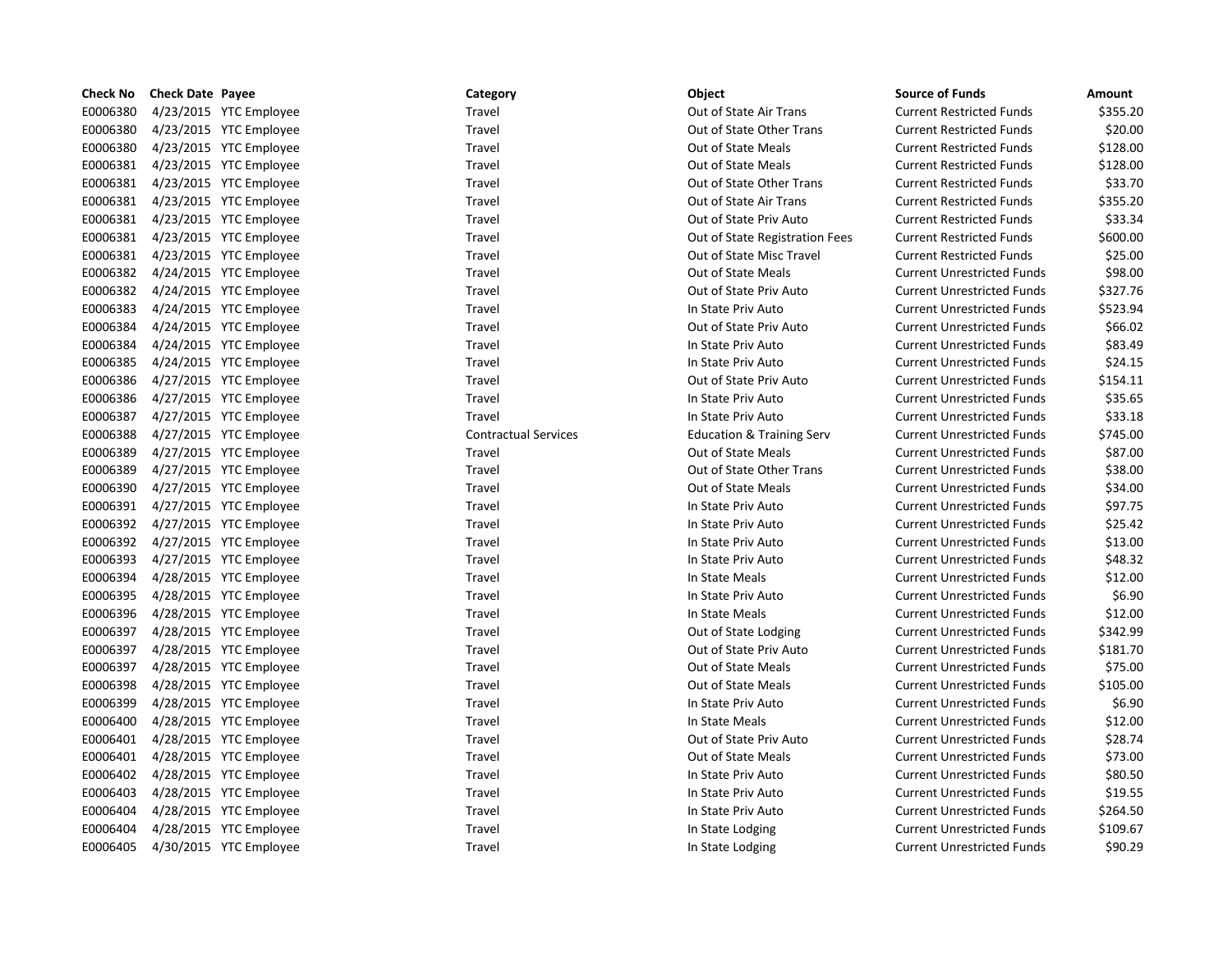| <b>Check No</b> | <b>Check Date Payee</b> |                        | Category                    | Object                               | <b>Source of Funds</b>            | Amount   |
|-----------------|-------------------------|------------------------|-----------------------------|--------------------------------------|-----------------------------------|----------|
| E0006380        |                         | 4/23/2015 YTC Employee | Travel                      | Out of State Air Trans               | <b>Current Restricted Funds</b>   | \$355.20 |
| E0006380        |                         | 4/23/2015 YTC Employee | Travel                      | Out of State Other Trans             | <b>Current Restricted Funds</b>   | \$20.00  |
| E0006380        |                         | 4/23/2015 YTC Employee | Travel                      | Out of State Meals                   | <b>Current Restricted Funds</b>   | \$128.00 |
| E0006381        |                         | 4/23/2015 YTC Employee | Travel                      | Out of State Meals                   | <b>Current Restricted Funds</b>   | \$128.00 |
| E0006381        |                         | 4/23/2015 YTC Employee | Travel                      | Out of State Other Trans             | <b>Current Restricted Funds</b>   | \$33.70  |
| E0006381        |                         | 4/23/2015 YTC Employee | Travel                      | Out of State Air Trans               | <b>Current Restricted Funds</b>   | \$355.20 |
| E0006381        |                         | 4/23/2015 YTC Employee | Travel                      | Out of State Priv Auto               | <b>Current Restricted Funds</b>   | \$33.34  |
| E0006381        |                         | 4/23/2015 YTC Employee | Travel                      | Out of State Registration Fees       | <b>Current Restricted Funds</b>   | \$600.00 |
| E0006381        |                         | 4/23/2015 YTC Employee | Travel                      | Out of State Misc Travel             | <b>Current Restricted Funds</b>   | \$25.00  |
| E0006382        |                         | 4/24/2015 YTC Employee | Travel                      | <b>Out of State Meals</b>            | <b>Current Unrestricted Funds</b> | \$98.00  |
| E0006382        |                         | 4/24/2015 YTC Employee | Travel                      | Out of State Priv Auto               | <b>Current Unrestricted Funds</b> | \$327.76 |
| E0006383        |                         | 4/24/2015 YTC Employee | Travel                      | In State Priv Auto                   | <b>Current Unrestricted Funds</b> | \$523.94 |
| E0006384        |                         | 4/24/2015 YTC Employee | Travel                      | Out of State Priv Auto               | <b>Current Unrestricted Funds</b> | \$66.02  |
| E0006384        |                         | 4/24/2015 YTC Employee | Travel                      | In State Priv Auto                   | <b>Current Unrestricted Funds</b> | \$83.49  |
| E0006385        |                         | 4/24/2015 YTC Employee | Travel                      | In State Priv Auto                   | <b>Current Unrestricted Funds</b> | \$24.15  |
| E0006386        |                         | 4/27/2015 YTC Employee | Travel                      | Out of State Priv Auto               | <b>Current Unrestricted Funds</b> | \$154.11 |
| E0006386        |                         | 4/27/2015 YTC Employee | Travel                      | In State Priv Auto                   | <b>Current Unrestricted Funds</b> | \$35.65  |
| E0006387        |                         | 4/27/2015 YTC Employee | Travel                      | In State Priv Auto                   | <b>Current Unrestricted Funds</b> | \$33.18  |
| E0006388        |                         | 4/27/2015 YTC Employee | <b>Contractual Services</b> | <b>Education &amp; Training Serv</b> | <b>Current Unrestricted Funds</b> | \$745.00 |
| E0006389        |                         | 4/27/2015 YTC Employee | Travel                      | Out of State Meals                   | <b>Current Unrestricted Funds</b> | \$87.00  |
| E0006389        |                         | 4/27/2015 YTC Employee | Travel                      | Out of State Other Trans             | <b>Current Unrestricted Funds</b> | \$38.00  |
| E0006390        |                         | 4/27/2015 YTC Employee | Travel                      | Out of State Meals                   | <b>Current Unrestricted Funds</b> | \$34.00  |
| E0006391        |                         | 4/27/2015 YTC Employee | Travel                      | In State Priv Auto                   | <b>Current Unrestricted Funds</b> | \$97.75  |
| E0006392        |                         | 4/27/2015 YTC Employee | Travel                      | In State Priv Auto                   | <b>Current Unrestricted Funds</b> | \$25.42  |
| E0006392        |                         | 4/27/2015 YTC Employee | Travel                      | In State Priv Auto                   | <b>Current Unrestricted Funds</b> | \$13.00  |
| E0006393        |                         | 4/27/2015 YTC Employee | Travel                      | In State Priv Auto                   | <b>Current Unrestricted Funds</b> | \$48.32  |
| E0006394        |                         | 4/28/2015 YTC Employee | Travel                      | In State Meals                       | <b>Current Unrestricted Funds</b> | \$12.00  |
| E0006395        |                         | 4/28/2015 YTC Employee | Travel                      | In State Priv Auto                   | <b>Current Unrestricted Funds</b> | \$6.90   |
| E0006396        |                         | 4/28/2015 YTC Employee | Travel                      | In State Meals                       | <b>Current Unrestricted Funds</b> | \$12.00  |
| E0006397        |                         | 4/28/2015 YTC Employee | Travel                      | Out of State Lodging                 | <b>Current Unrestricted Funds</b> | \$342.99 |
| E0006397        |                         | 4/28/2015 YTC Employee | Travel                      | Out of State Priv Auto               | <b>Current Unrestricted Funds</b> | \$181.70 |
| E0006397        |                         | 4/28/2015 YTC Employee | Travel                      | <b>Out of State Meals</b>            | <b>Current Unrestricted Funds</b> | \$75.00  |
| E0006398        |                         | 4/28/2015 YTC Employee | Travel                      | <b>Out of State Meals</b>            | <b>Current Unrestricted Funds</b> | \$105.00 |
| E0006399        |                         | 4/28/2015 YTC Employee | Travel                      | In State Priv Auto                   | <b>Current Unrestricted Funds</b> | \$6.90   |
| E0006400        |                         | 4/28/2015 YTC Employee | Travel                      | In State Meals                       | <b>Current Unrestricted Funds</b> | \$12.00  |
| E0006401        |                         | 4/28/2015 YTC Employee | Travel                      | Out of State Priv Auto               | <b>Current Unrestricted Funds</b> | \$28.74  |
| E0006401        |                         | 4/28/2015 YTC Employee | Travel                      | <b>Out of State Meals</b>            | <b>Current Unrestricted Funds</b> | \$73.00  |
| E0006402        |                         | 4/28/2015 YTC Employee | Travel                      | In State Priv Auto                   | <b>Current Unrestricted Funds</b> | \$80.50  |
| E0006403        |                         | 4/28/2015 YTC Employee | Travel                      | In State Priv Auto                   | <b>Current Unrestricted Funds</b> | \$19.55  |
| E0006404        |                         | 4/28/2015 YTC Employee | Travel                      | In State Priv Auto                   | <b>Current Unrestricted Funds</b> | \$264.50 |
| E0006404        |                         | 4/28/2015 YTC Employee | Travel                      | In State Lodging                     | <b>Current Unrestricted Funds</b> | \$109.67 |
| E0006405        |                         | 4/30/2015 YTC Employee | Travel                      | In State Lodging                     | <b>Current Unrestricted Funds</b> | \$90.29  |